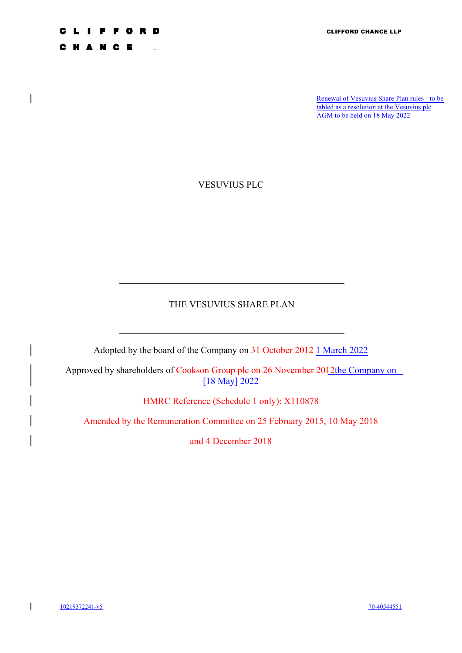Renewal of Vesuvius Share Plan rules - to be tabled as a resolution at the Vesuvius plc AGM to be held on 18 May 2022

VESUVIUS PLC

**FOR** 

N C E

H A

 $\overline{\phantom{a}}$ 

D

 $\sim$  1

# THE VESUVIUS SHARE PLAN

Adopted by the board of the Company on 31 October 2012 1 March 2022

Approved by shareholders of Cookson Group plc on 26 November 2012the Company on [18 May] 2022

HMRC Reference (Schedule 1 only): X110878

Amended by the Remuneration Committee on 25 February 2015, 10 May 2018

and 4 December 2018

 $\overline{1}$ 10219372241-v5 70-40544551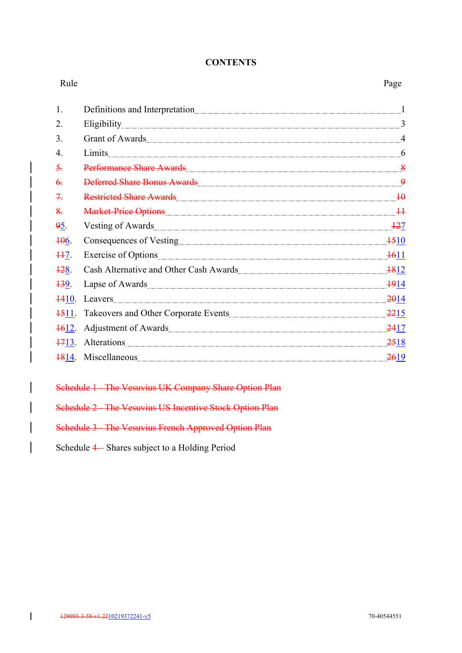# **CONTENTS**

| Rule              |                                                                                                                                                                                                                                     | Page |
|-------------------|-------------------------------------------------------------------------------------------------------------------------------------------------------------------------------------------------------------------------------------|------|
| 1.                |                                                                                                                                                                                                                                     |      |
| 2.                |                                                                                                                                                                                                                                     |      |
| 3.                | Grant of Awards 44                                                                                                                                                                                                                  |      |
| 4.                | Limits 6                                                                                                                                                                                                                            |      |
| 5.                | Performance Share Awards [1983] [1984] [1984] [1984] [1984] [1984] [1984] [1984] [1984] [1984] [1984] [1984] [                                                                                                                      |      |
| $\theta$ .        |                                                                                                                                                                                                                                     |      |
| 7.                | Restricted Share Awards 10                                                                                                                                                                                                          |      |
| $\frac{8}{2}$     | Market-Price Options 14                                                                                                                                                                                                             |      |
| 95.               | Vesting of Awards 127                                                                                                                                                                                                               |      |
| 406.              | Consequences of Vesting 1510                                                                                                                                                                                                        |      |
| $H7$ .            | Exercise of Options 1611                                                                                                                                                                                                            |      |
| 128.              | Cash Alternative and Other Cash Awards [1812] 1812                                                                                                                                                                                  |      |
| <del>13</del> 9.  | Lapse of Awards 1914                                                                                                                                                                                                                |      |
| 4410.             | Leavers 2014                                                                                                                                                                                                                        |      |
| <del>15</del> 11. | Takeovers and Other Corporate Events                                                                                                                                                                                                |      |
| <del>16</del> 12. |                                                                                                                                                                                                                                     | 2417 |
|                   | 1713. Alterations                                                                                                                                                                                                                   | 2518 |
|                   | 1814. Miscellaneous <u>Communications</u> and the contract of the contract of the contract of the contract of the contract of the contract of the contract of the contract of the contract of the contract of the contract of the c | 2619 |

Schedule 1 - The Vesuvius UK Company Share Option Plan

Schedule 2 - The Vesuvius US Incentive Stock Option Plan

Schedule 3 - The Vesuvius French Approved Option Plan

Schedule 4 – Shares subject to a Holding Period

 $\overline{1}$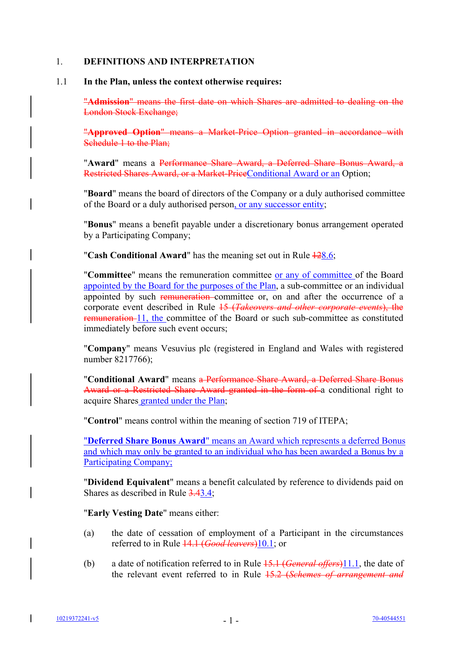# 1. **DEFINITIONS AND INTERPRETATION**

### 1.1 **In the Plan, unless the context otherwise requires:**

"**Admission**" means the first date on which Shares are admitted to dealing on the London Stock Exchange;

"**Approved Option**" means a Market-Price Option granted in accordance with Schedule 1 to the Plan;

"**Award**" means a Performance Share Award, a Deferred Share Bonus Award, a Restricted Shares Award, or a Market-PriceConditional Award or an Option;

"**Board**" means the board of directors of the Company or a duly authorised committee of the Board or a duly authorised person, or any successor entity;

"**Bonus**" means a benefit payable under a discretionary bonus arrangement operated by a Participating Company;

"**Cash Conditional Award**" has the meaning set out in Rule  $\frac{128.6}{120}$ ;

"**Committee**" means the remuneration committee or any of committee of the Board appointed by the Board for the purposes of the Plan, a sub-committee or an individual appointed by such remuneration-committee or, on and after the occurrence of a corporate event described in Rule 15 (*Takeovers and other corporate events*), the remuneration 11, the committee of the Board or such sub-committee as constituted immediately before such event occurs;

"**Company**" means Vesuvius plc (registered in England and Wales with registered number 8217766);

"**Conditional Award**" means a Performance Share Award, a Deferred Share Bonus Award or a Restricted Share Award granted in the form of a conditional right to acquire Shares granted under the Plan;

"**Control**" means control within the meaning of section 719 of ITEPA;

"**Deferred Share Bonus Award**" means an Award which represents a deferred Bonus and which may only be granted to an individual who has been awarded a Bonus by a Participating Company;

"**Dividend Equivalent**" means a benefit calculated by reference to dividends paid on Shares as described in Rule 3.43.4;

"**Early Vesting Date**" means either:

- (a) the date of cessation of employment of a Participant in the circumstances referred to in Rule 14.1 (*Good leavers*)10.1; or
- (b) a date of notification referred to in Rule 15.1 (*General offers*)11.1, the date of the relevant event referred to in Rule 15.2 (*Schemes of arrangement and*

I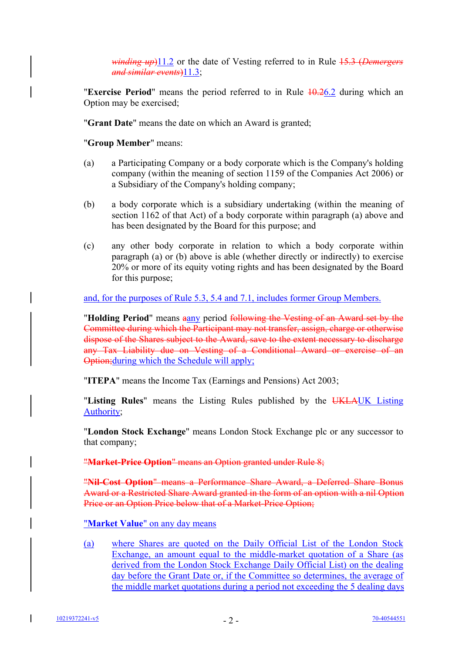*winding up*)11.2 or the date of Vesting referred to in Rule 15.3 (*Demergers and similar events*)11.3;

"**Exercise Period**" means the period referred to in Rule 10.26.2 during which an Option may be exercised;

"**Grant Date**" means the date on which an Award is granted;

"**Group Member**" means:

- (a) a Participating Company or a body corporate which is the Company's holding company (within the meaning of section 1159 of the Companies Act 2006) or a Subsidiary of the Company's holding company;
- (b) a body corporate which is a subsidiary undertaking (within the meaning of section 1162 of that Act) of a body corporate within paragraph (a) above and has been designated by the Board for this purpose; and
- (c) any other body corporate in relation to which a body corporate within paragraph (a) or (b) above is able (whether directly or indirectly) to exercise 20% or more of its equity voting rights and has been designated by the Board for this purpose;

and, for the purposes of Rule 5.3, 5.4 and 7.1, includes former Group Members.

"Holding Period" means aany period following the Vesting of an Award set by the Committee during which the Participant may not transfer, assign, charge or otherwise dispose of the Shares subject to the Award, save to the extent necessary to discharge any Tax Liability due on Vesting of a Conditional Award or exercise of an Option;during which the Schedule will apply;

"**ITEPA**" means the Income Tax (Earnings and Pensions) Act 2003;

"**Listing Rules**" means the Listing Rules published by the UKLAUK Listing Authority;

"**London Stock Exchange**" means London Stock Exchange plc or any successor to that company;

"**Market-Price Option**" means an Option granted under Rule 8;

"**Nil-Cost Option**" means a Performance Share Award, a Deferred Share Bonus Award or a Restricted Share Award granted in the form of an option with a nil Option Price or an Option Price below that of a Market-Price Option;

"**Market Value**" on any day means

(a) where Shares are quoted on the Daily Official List of the London Stock Exchange, an amount equal to the middle-market quotation of a Share (as derived from the London Stock Exchange Daily Official List) on the dealing day before the Grant Date or, if the Committee so determines, the average of the middle market quotations during a period not exceeding the 5 dealing days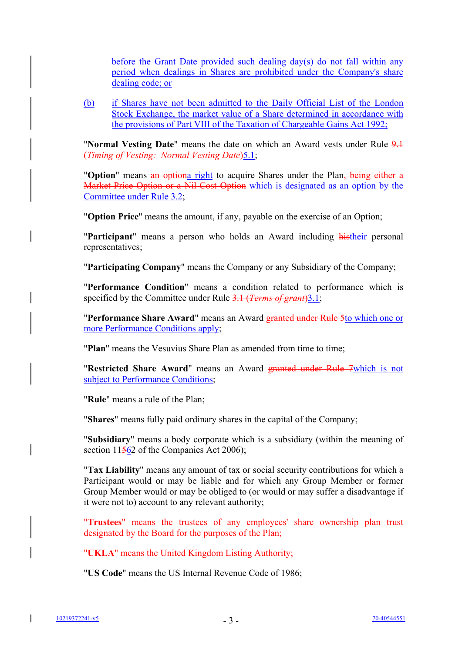before the Grant Date provided such dealing day(s) do not fall within any period when dealings in Shares are prohibited under the Company's share dealing code; or

(b) if Shares have not been admitted to the Daily Official List of the London Stock Exchange, the market value of a Share determined in accordance with the provisions of Part VIII of the Taxation of Chargeable Gains Act 1992;

"**Normal Vesting Date**" means the date on which an Award vests under Rule 9.1 (*Timing of Vesting: Normal Vesting Date*)5.1;

"**Option**" means an optiona right to acquire Shares under the Plan, being either a Market-Price Option or a Nil-Cost Option which is designated as an option by the Committee under Rule 3.2;

"**Option Price**" means the amount, if any, payable on the exercise of an Option;

"**Participant**" means a person who holds an Award including histheir personal representatives;

"**Participating Company**" means the Company or any Subsidiary of the Company;

"**Performance Condition**" means a condition related to performance which is specified by the Committee under Rule 3.1 (*Terms of grant*) 3.1;

"**Performance Share Award**" means an Award granted under Rule 5to which one or more Performance Conditions apply;

"**Plan**" means the Vesuvius Share Plan as amended from time to time;

"**Restricted Share Award**" means an Award granted under Rule 7which is not subject to Performance Conditions;

"**Rule**" means a rule of the Plan;

"**Shares**" means fully paid ordinary shares in the capital of the Company;

"**Subsidiary**" means a body corporate which is a subsidiary (within the meaning of section 11562 of the Companies Act 2006);

"**Tax Liability**" means any amount of tax or social security contributions for which a Participant would or may be liable and for which any Group Member or former Group Member would or may be obliged to (or would or may suffer a disadvantage if it were not to) account to any relevant authority;

"**Trustees**" means the trustees of any employees' share ownership plan trust designated by the Board for the purposes of the Plan;

"**UKLA**" means the United Kingdom Listing Authority;

"**US Code**" means the US Internal Revenue Code of 1986;

I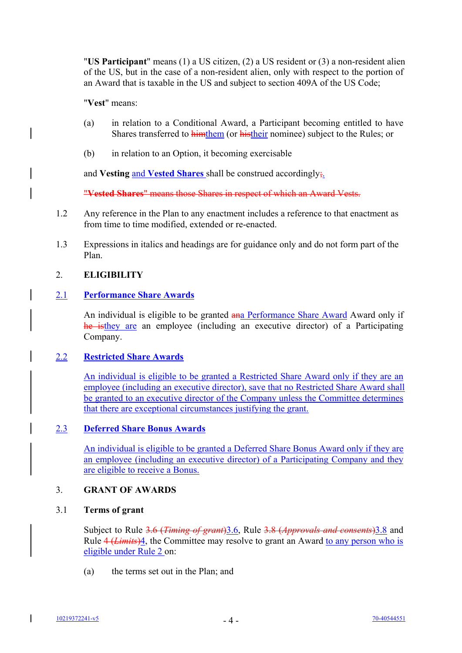"**US Participant**" means (1) a US citizen, (2) a US resident or (3) a non-resident alien of the US, but in the case of a non-resident alien, only with respect to the portion of an Award that is taxable in the US and subject to section 409A of the US Code;

"**Vest**" means:

- (a) in relation to a Conditional Award, a Participant becoming entitled to have Shares transferred to himthem (or histheir nominee) subject to the Rules; or
- (b) in relation to an Option, it becoming exercisable

and **Vesting** and **Vested Shares** shall be construed accordingly;.

"**Vested Shares**" means those Shares in respect of which an Award Vests.

- 1.2 Any reference in the Plan to any enactment includes a reference to that enactment as from time to time modified, extended or re-enacted.
- 1.3 Expressions in italics and headings are for guidance only and do not form part of the Plan.

# 2. **ELIGIBILITY**

# 2.1 **Performance Share Awards**

An individual is eligible to be granted ana Performance Share Award Award only if he isthey are an employee (including an executive director) of a Participating Company.

# 2.2 **Restricted Share Awards**

An individual is eligible to be granted a Restricted Share Award only if they are an employee (including an executive director), save that no Restricted Share Award shall be granted to an executive director of the Company unless the Committee determines that there are exceptional circumstances justifying the grant.

# 2.3 **Deferred Share Bonus Awards**

An individual is eligible to be granted a Deferred Share Bonus Award only if they are an employee (including an executive director) of a Participating Company and they are eligible to receive a Bonus.

# 3. **GRANT OF AWARDS**

# 3.1 **Terms of grant**

Subject to Rule 3.6 (*Timing of grant*)3.6, Rule 3.8 (*Approvals and consents*)3.8 and Rule 4 (*Limits*)4, the Committee may resolve to grant an Award to any person who is eligible under Rule 2 on:

(a) the terms set out in the Plan; and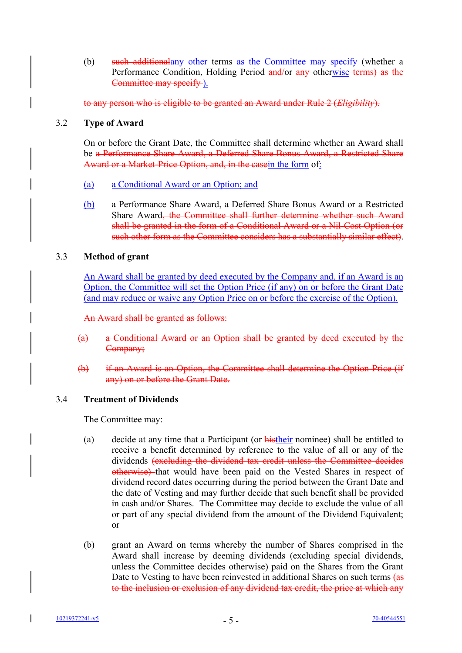(b) such additionalany other terms as the Committee may specify (whether a Performance Condition, Holding Period and/or any otherwise terms) as the Committee may specify ).

to any person who is eligible to be granted an Award under Rule 2 (*Eligibility*).

# 3.2 **Type of Award**

On or before the Grant Date, the Committee shall determine whether an Award shall be a Performance Share Award, a Deferred Share Bonus Award, a Restricted Share Award or a Market-Price Option, and, in the casein the form of:

- (a) a Conditional Award or an Option; and
- (b) a Performance Share Award, a Deferred Share Bonus Award or a Restricted Share Award, the Committee shall further determine whether such Award shall be granted in the form of a Conditional Award or a Nil-Cost Option (or such other form as the Committee considers has a substantially similar effect).

# 3.3 **Method of grant**

An Award shall be granted by deed executed by the Company and, if an Award is an Option, the Committee will set the Option Price (if any) on or before the Grant Date (and may reduce or waive any Option Price on or before the exercise of the Option).

An Award shall be granted as follows:

- (a) a Conditional Award or an Option shall be granted by deed executed by the Company;
- (b) if an Award is an Option, the Committee shall determine the Option Price (if any) on or before the Grant Date.

# 3.4 **Treatment of Dividends**

The Committee may:

- (a) decide at any time that a Participant (or histheir nominee) shall be entitled to receive a benefit determined by reference to the value of all or any of the dividends (excluding the dividend tax credit unless the Committee decides otherwise) that would have been paid on the Vested Shares in respect of dividend record dates occurring during the period between the Grant Date and the date of Vesting and may further decide that such benefit shall be provided in cash and/or Shares. The Committee may decide to exclude the value of all or part of any special dividend from the amount of the Dividend Equivalent; or
- (b) grant an Award on terms whereby the number of Shares comprised in the Award shall increase by deeming dividends (excluding special dividends, unless the Committee decides otherwise) paid on the Shares from the Grant Date to Vesting to have been reinvested in additional Shares on such terms (as to the inclusion or exclusion of any dividend tax credit, the price at which any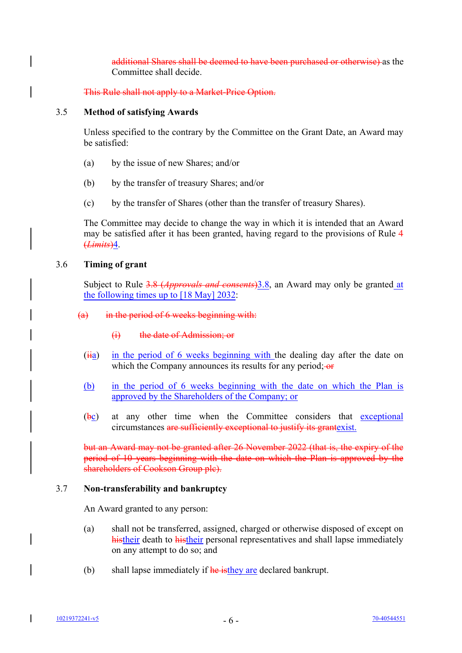additional Shares shall be deemed to have been purchased or otherwise) as the Committee shall decide.

This Rule shall not apply to a Market-Price Option.

### 3.5 **Method of satisfying Awards**

Unless specified to the contrary by the Committee on the Grant Date, an Award may be satisfied:

- (a) by the issue of new Shares; and/or
- (b) by the transfer of treasury Shares; and/or
- (c) by the transfer of Shares (other than the transfer of treasury Shares).

The Committee may decide to change the way in which it is intended that an Award may be satisfied after it has been granted, having regard to the provisions of Rule 4 (*Limits*)4.

### 3.6 **Timing of grant**

Subject to Rule 3.8 (*Approvals and consents*)3.8, an Award may only be granted at the following times up to [18 May] 2032:

### (a) in the period of 6 weeks beginning with:

# (i) the date of Admission; or

- $(iii)$  in the period of 6 weeks beginning with the dealing day after the date on which the Company announces its results for any period;  $\Theta$
- (b) in the period of 6 weeks beginning with the date on which the Plan is approved by the Shareholders of the Company; or
- $(\frac{b}{c})$  at any other time when the Committee considers that exceptional circumstances are sufficiently exceptional to justify its grantexist.

but an Award may not be granted after 26 November 2022 (that is, the expiry of the period of 10 years beginning with the date on which the Plan is approved by the shareholders of Cookson Group plc).

#### 3.7 **Non-transferability and bankruptcy**

An Award granted to any person:

- (a) shall not be transferred, assigned, charged or otherwise disposed of except on histheir death to histheir personal representatives and shall lapse immediately on any attempt to do so; and
- (b) shall lapse immediately if  $\frac{h}{h}$  is the y are declared bankrupt.

I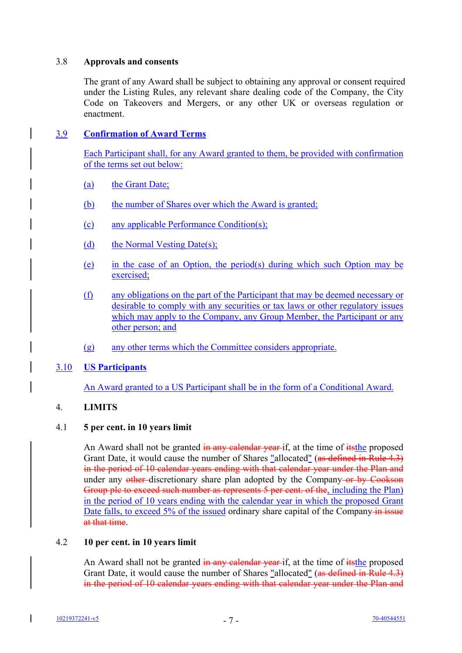# 3.8 **Approvals and consents**

The grant of any Award shall be subject to obtaining any approval or consent required under the Listing Rules, any relevant share dealing code of the Company, the City Code on Takeovers and Mergers, or any other UK or overseas regulation or enactment.

# 3.9 **Confirmation of Award Terms**

Each Participant shall, for any Award granted to them, be provided with confirmation of the terms set out below:

- (a) the Grant Date;
- (b) the number of Shares over which the Award is granted;
- (c) any applicable Performance Condition(s);
- (d) the Normal Vesting Date(s);
- (e) in the case of an Option, the period(s) during which such Option may be exercised;
- (f) any obligations on the part of the Participant that may be deemed necessary or desirable to comply with any securities or tax laws or other regulatory issues which may apply to the Company, any Group Member, the Participant or any other person; and
- (g) any other terms which the Committee considers appropriate.

# 3.10 **US Participants**

An Award granted to a US Participant shall be in the form of a Conditional Award.

# 4. **LIMITS**

# 4.1 **5 per cent. in 10 years limit**

An Award shall not be granted in any calendar year-if, at the time of its the proposed Grant Date, it would cause the number of Shares "allocated" (as defined in Rule 4.3) in the period of 10 calendar years ending with that calendar year under the Plan and under any other-discretionary share plan adopted by the Company-or by Cookson Group plc to exceed such number as represents 5 per cent. of the, including the Plan) in the period of 10 years ending with the calendar year in which the proposed Grant Date falls, to exceed 5% of the issued ordinary share capital of the Company in issue at that time.

# 4.2 **10 per cent. in 10 years limit**

An Award shall not be granted in any calendar year-if, at the time of its the proposed Grant Date, it would cause the number of Shares "allocated" (as defined in Rule 4.3) in the period of 10 calendar years ending with that calendar year under the Plan and

 $\mathbf l$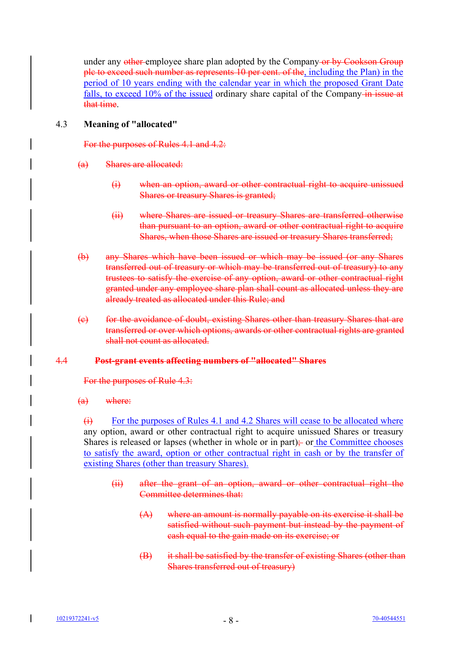under any other employee share plan adopted by the Company or by Cookson Group plc to exceed such number as represents 10 per cent. of the, including the Plan) in the period of 10 years ending with the calendar year in which the proposed Grant Date falls, to exceed  $10\%$  of the issued ordinary share capital of the Company-in issue at that time.

# 4.3 **Meaning of "allocated"**

For the purposes of Rules 4.1 and 4.2:

- (a) Shares are allocated:
	- (i) when an option, award or other contractual right to acquire unissued Shares or treasury Shares is granted;
	- (ii) where Shares are issued or treasury Shares are transferred otherwise than pursuant to an option, award or other contractual right to acquire Shares, when those Shares are issued or treasury Shares transferred;
- (b) any Shares which have been issued or which may be issued (or any Shares transferred out of treasury or which may be transferred out of treasury) to any trustees to satisfy the exercise of any option, award or other contractual right granted under any employee share plan shall count as allocated unless they are already treated as allocated under this Rule; and
- (c) for the avoidance of doubt, existing Shares other than treasury Shares that are transferred or over which options, awards or other contractual rights are granted shall not count as allocated.

# 4.4 **Post-grant events affecting numbers of "allocated" Shares**

For the purposes of Rule 4.3:

(a) where:

 $(i)$  For the purposes of Rules 4.1 and 4.2 Shares will cease to be allocated where any option, award or other contractual right to acquire unissued Shares or treasury Shares is released or lapses (whether in whole or in part); or the Committee chooses to satisfy the award, option or other contractual right in cash or by the transfer of existing Shares (other than treasury Shares).

- (ii) after the grant of an option, award or other contractual right the Committee determines that:
	- (A) where an amount is normally payable on its exercise it shall be satisfied without such payment but instead by the payment of cash equal to the gain made on its exercise; or
	- (B) it shall be satisfied by the transfer of existing Shares (other than Shares transferred out of treasury)

 $\mathbf l$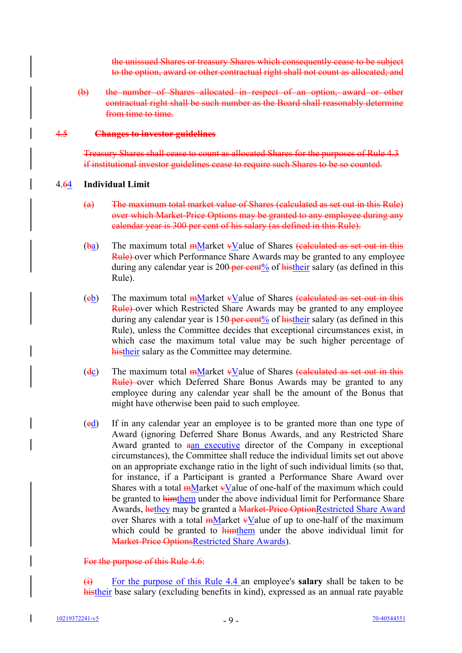the unissued Shares or treasury Shares which consequently cease to be subject to the option, award or other contractual right shall not count as allocated; and

(b) the number of Shares allocated in respect of an option, award or other contractual right shall be such number as the Board shall reasonably determine from time to time.

### 4.5 **Changes to investor guidelines**

Treasury Shares shall cease to count as allocated Shares for the purposes of Rule 4.3 if institutional investor guidelines cease to require such Shares to be so counted.

# 4.64 **Individual Limit**

- (a) The maximum total market value of Shares (calculated as set out in this Rule) over which Market-Price Options may be granted to any employee during any calendar year is 300 per cent of his salary (as defined in this Rule).
- $(ba)$  The maximum total  $m$ Market  $\overline{v}$ Value of Shares (calculated as set out in this Rule) over which Performance Share Awards may be granted to any employee during any calendar year is 200-per cent<sup> $\%$ </sup> of histheir salary (as defined in this Rule).
- (eb) The maximum total  $m$ Market  $\overline{v}$ Value of Shares (calculated as set out in this Rule) over which Restricted Share Awards may be granted to any employee during any calendar year is  $150$ -per cent<sup>%</sup> of histheir salary (as defined in this Rule), unless the Committee decides that exceptional circumstances exist, in which case the maximum total value may be such higher percentage of histheir salary as the Committee may determine.
- (dc) The maximum total  $m$ Market  $\overline{v}$ Value of Shares (calculated as set out in this Rule) over which Deferred Share Bonus Awards may be granted to any employee during any calendar year shall be the amount of the Bonus that might have otherwise been paid to such employee.
- (ed) If in any calendar year an employee is to be granted more than one type of Award (ignoring Deferred Share Bonus Awards, and any Restricted Share Award granted to aan executive director of the Company in exceptional circumstances), the Committee shall reduce the individual limits set out above on an appropriate exchange ratio in the light of such individual limits (so that, for instance, if a Participant is granted a Performance Share Award over Shares with a total  $\frac{m}{m}$  Market  $\frac{v}{m}$  alue of one-half of the maximum which could be granted to himthem under the above individual limit for Performance Share Awards, hethey may be granted a Market-Price OptionRestricted Share Award over Shares with a total  $m$ Market  $\overline{v}$ Value of up to one-half of the maximum which could be granted to himthem under the above individual limit for Market-Price OptionsRestricted Share Awards).

# For the purpose of this Rule 4.6:

(i) For the purpose of this Rule 4.4 an employee's **salary** shall be taken to be histheir base salary (excluding benefits in kind), expressed as an annual rate payable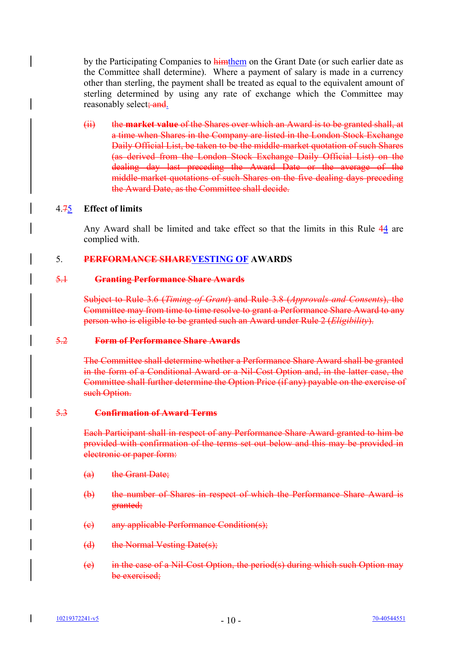by the Participating Companies to himthem on the Grant Date (or such earlier date as the Committee shall determine). Where a payment of salary is made in a currency other than sterling, the payment shall be treated as equal to the equivalent amount of sterling determined by using any rate of exchange which the Committee may reasonably select; and.

(ii) the **market value** of the Shares over which an Award is to be granted shall, at a time when Shares in the Company are listed in the London Stock Exchange Daily Official List, be taken to be the middle-market quotation of such Shares (as derived from the London Stock Exchange Daily Official List) on the dealing day last preceding the Award Date or the average of the middle-market quotations of such Shares on the five dealing days preceding the Award Date, as the Committee shall decide.

# 4.75 **Effect of limits**

Any Award shall be limited and take effect so that the limits in this Rule 44 are complied with.

# 5. **PERFORMANCE SHAREVESTING OF AWARDS**

### 5.1 **Granting Performance Share Awards**

Subject to Rule 3.6 (*Timing of Grant*) and Rule 3.8 (*Approvals and Consents*), the Committee may from time to time resolve to grant a Performance Share Award to any person who is eligible to be granted such an Award under Rule 2 (*Eligibility*).

# 5.2 **Form of Performance Share Awards**

The Committee shall determine whether a Performance Share Award shall be granted in the form of a Conditional Award or a Nil-Cost Option and, in the latter case, the Committee shall further determine the Option Price (if any) payable on the exercise of such Option.

# 5.3 **Confirmation of Award Terms**

Each Participant shall in respect of any Performance Share Award granted to him be provided with confirmation of the terms set out below and this may be provided in electronic or paper form:

- (a) the Grant Date;
- (b) the number of Shares in respect of which the Performance Share Award is granted;
- (c) any applicable Performance Condition(s);
- (d) the Normal Vesting Date(s);
- (e) in the case of a Nil-Cost Option, the period(s) during which such Option may be exercised;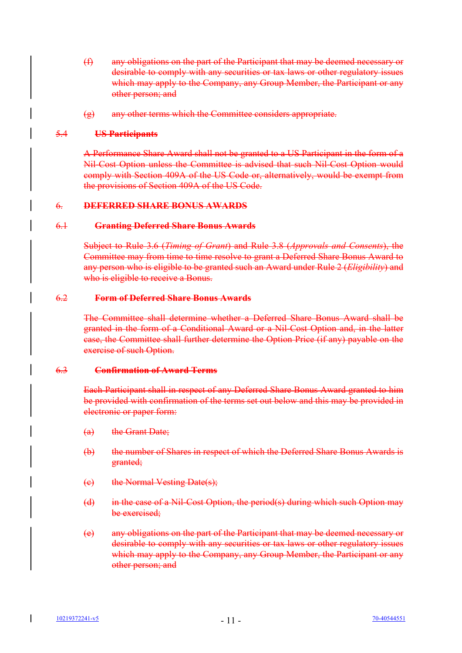- (f) any obligations on the part of the Participant that may be deemed necessary or desirable to comply with any securities or tax laws or other regulatory issues which may apply to the Company, any Group Member, the Participant or any other person; and
- (g) any other terms which the Committee considers appropriate.

### 5.4 **US Participants**

A Performance Share Award shall not be granted to a US Participant in the form of a Nil-Cost Option unless the Committee is advised that such Nil-Cost Option would comply with Section 409A of the US Code or, alternatively, would be exempt from the provisions of Section 409A of the US Code.

# 6. **DEFERRED SHARE BONUS AWARDS**

#### 6.1 **Granting Deferred Share Bonus Awards**

Subject to Rule 3.6 (*Timing of Grant*) and Rule 3.8 (*Approvals and Consents*), the Committee may from time to time resolve to grant a Deferred Share Bonus Award to any person who is eligible to be granted such an Award under Rule 2 (*Eligibility*) and who is eligible to receive a Bonus.

#### 6.2 **Form of Deferred Share Bonus Awards**

The Committee shall determine whether a Deferred Share Bonus Award shall be granted in the form of a Conditional Award or a Nil-Cost Option and, in the latter case, the Committee shall further determine the Option Price (if any) payable on the exercise of such Option.

### 6.3 **Confirmation of Award Terms**

Each Participant shall in respect of any Deferred Share Bonus Award granted to him be provided with confirmation of the terms set out below and this may be provided in electronic or paper form:

- (a) the Grant Date;
- (b) the number of Shares in respect of which the Deferred Share Bonus Awards is granted;
- (c) the Normal Vesting Date(s);
- (d) in the case of a Nil-Cost Option, the period(s) during which such Option may be exercised;
- (e) any obligations on the part of the Participant that may be deemed necessary or desirable to comply with any securities or tax laws or other regulatory issues which may apply to the Company, any Group Member, the Participant or any other person; and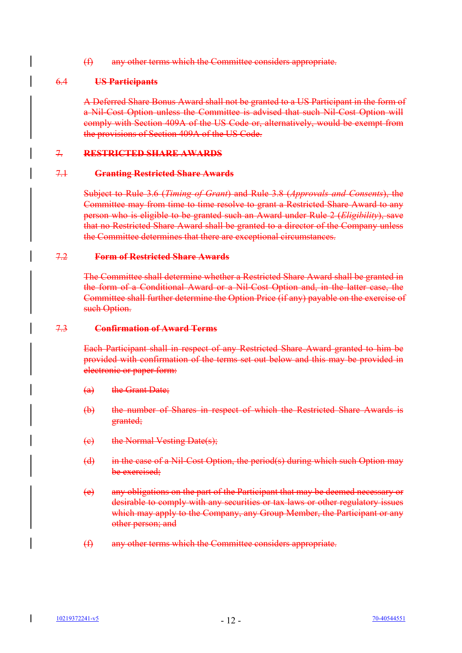(f) any other terms which the Committee considers appropriate.

# 6.4 **US Participants**

A Deferred Share Bonus Award shall not be granted to a US Participant in the form of a Nil-Cost Option unless the Committee is advised that such Nil-Cost Option will comply with Section 409A of the US Code or, alternatively, would be exempt from the provisions of Section 409A of the US Code.

# 7. **RESTRICTED SHARE AWARDS**

# 7.1 **Granting Restricted Share Awards**

Subject to Rule 3.6 (*Timing of Grant*) and Rule 3.8 (*Approvals and Consents*), the Committee may from time to time resolve to grant a Restricted Share Award to any person who is eligible to be granted such an Award under Rule 2 (*Eligibility*), save that no Restricted Share Award shall be granted to a director of the Company unless the Committee determines that there are exceptional circumstances.

### 7.2 **Form of Restricted Share Awards**

The Committee shall determine whether a Restricted Share Award shall be granted in the form of a Conditional Award or a Nil-Cost Option and, in the latter case, the Committee shall further determine the Option Price (if any) payable on the exercise of such Option.

### 7.3 **Confirmation of Award Terms**

Each Participant shall in respect of any Restricted Share Award granted to him be provided with confirmation of the terms set out below and this may be provided in electronic or paper form:

- (a) the Grant Date;
- (b) the number of Shares in respect of which the Restricted Share Awards is granted;
- (c) the Normal Vesting Date(s);
- (d) in the case of a Nil-Cost Option, the period(s) during which such Option may be exercised;
- (e) any obligations on the part of the Participant that may be deemed necessary or desirable to comply with any securities or tax laws or other regulatory issues which may apply to the Company, any Group Member, the Participant or any other person; and
- (f) any other terms which the Committee considers appropriate.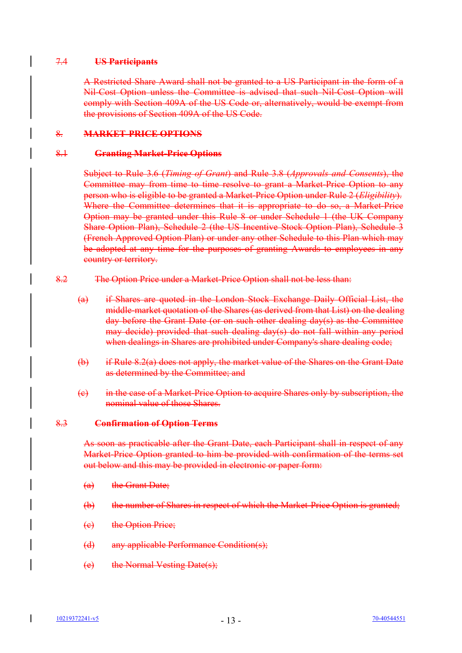### 7.4 **US Participants**

A Restricted Share Award shall not be granted to a US Participant in the form of a Nil-Cost Option unless the Committee is advised that such Nil-Cost Option will comply with Section 409A of the US Code or, alternatively, would be exempt from the provisions of Section 409A of the US Code.

# 8. **MARKET-PRICE OPTIONS**

### 8.1 **Granting Market-Price Options**

Subject to Rule 3.6 (*Timing of Grant*) and Rule 3.8 (*Approvals and Consents*), the Committee may from time to time resolve to grant a Market-Price Option to any person who is eligible to be granted a Market-Price Option under Rule 2 (*Eligibility*). Where the Committee determines that it is appropriate to do so, a Market-Price Option may be granted under this Rule 8 or under Schedule 1 (the UK Company Share Option Plan), Schedule 2 (the US Incentive Stock Option Plan), Schedule 3 (French Approved Option Plan) or under any other Schedule to this Plan which may be adopted at any time for the purposes of granting Awards to employees in any country or territory.

- 8.2 The Option Price under a Market-Price Option shall not be less than:
	- (a) if Shares are quoted in the London Stock Exchange Daily Official List, the middle-market quotation of the Shares (as derived from that List) on the dealing day before the Grant Date (or on such other dealing day(s) as the Committee may decide) provided that such dealing day(s) do not fall within any period when dealings in Shares are prohibited under Company's share dealing code;
	- (b) if Rule 8.2(a) does not apply, the market value of the Shares on the Grant Date as determined by the Committee; and
	- (c) in the case of a Market-Price Option to acquire Shares only by subscription, the nominal value of those Shares.

# 8.3 **Confirmation of Option Terms**

As soon as practicable after the Grant Date, each Participant shall in respect of any Market-Price Option granted to him be provided with confirmation of the terms set out below and this may be provided in electronic or paper form:

- (a) the Grant Date;
- (b) the number of Shares in respect of which the Market-Price Option is granted;
- (c) the Option Price;
- (d) any applicable Performance Condition(s);
- (e) the Normal Vesting Date(s);

 $\mathbf l$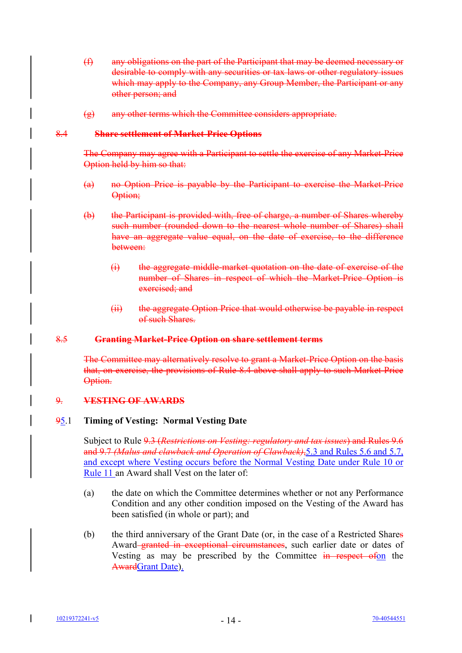- (f) any obligations on the part of the Participant that may be deemed necessary or desirable to comply with any securities or tax laws or other regulatory issues which may apply to the Company, any Group Member, the Participant or any other person; and
- (g) any other terms which the Committee considers appropriate.

### 8.4 **Share settlement of Market-Price Options**

The Company may agree with a Participant to settle the exercise of any Market-Price Option held by him so that:

- (a) no Option Price is payable by the Participant to exercise the Market-Price Option;
- (b) the Participant is provided with, free of charge, a number of Shares whereby such number (rounded down to the nearest whole number of Shares) shall have an aggregate value equal, on the date of exercise, to the difference between:
	- (i) the aggregate middle-market quotation on the date of exercise of the number of Shares in respect of which the Market-Price Option is exercised; and
	- (ii) the aggregate Option Price that would otherwise be payable in respect of such Shares.

### 8.5 **Granting Market-Price Option on share settlement terms**

The Committee may alternatively resolve to grant a Market-Price Option on the basis that, on exercise, the provisions of Rule 8.4 above shall apply to such Market-Price Option.

# 9. **VESTING OF AWARDS**

# 95.1 **Timing of Vesting: Normal Vesting Date**

Subject to Rule 9.3 (*Restrictions on Vesting: regulatory and tax issues*) and Rules 9.6 and 9.7 *(Malus and clawback and Operation of Clawback)*,5.3 and Rules 5.6 and 5.7, and except where Vesting occurs before the Normal Vesting Date under Rule 10 or Rule 11 an Award shall Vest on the later of:

- (a) the date on which the Committee determines whether or not any Performance Condition and any other condition imposed on the Vesting of the Award has been satisfied (in whole or part); and
- (b) the third anniversary of the Grant Date (or, in the case of a Restricted Shares Award–granted in exceptional circumstances, such earlier date or dates of Vesting as may be prescribed by the Committee in respect of on the AwardGrant Date).

 $\mathbf{I}$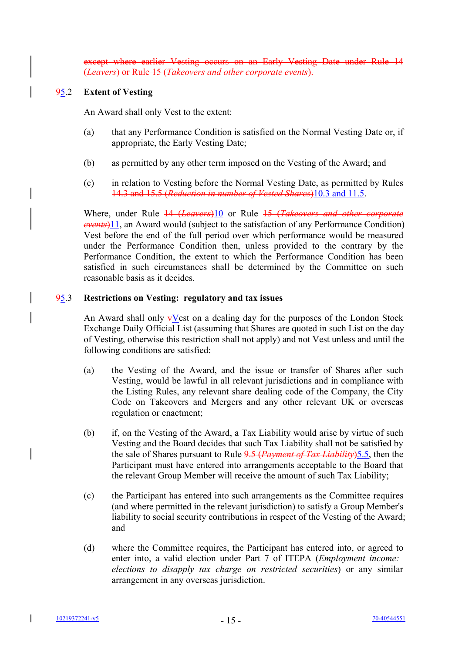earlier Vesting occurs on an Early Vesting Date under Rule 14 (*Leavers*) or Rule 15 (*Takeovers and other corporate events*).

# 95.2 **Extent of Vesting**

An Award shall only Vest to the extent:

- (a) that any Performance Condition is satisfied on the Normal Vesting Date or, if appropriate, the Early Vesting Date;
- (b) as permitted by any other term imposed on the Vesting of the Award; and
- (c) in relation to Vesting before the Normal Vesting Date, as permitted by Rules 14.3 and 15.5 (*Reduction in number of Vested Shares*)10.3 and 11.5.

Where, under Rule 14 (*Leavers*)10 or Rule 15 (*Takeovers and other corporate events*)11, an Award would (subject to the satisfaction of any Performance Condition) Vest before the end of the full period over which performance would be measured under the Performance Condition then, unless provided to the contrary by the Performance Condition, the extent to which the Performance Condition has been satisfied in such circumstances shall be determined by the Committee on such reasonable basis as it decides.

# 95.3 **Restrictions on Vesting: regulatory and tax issues**

An Award shall only  $\overline{\mathbf{v}}$ Vest on a dealing day for the purposes of the London Stock Exchange Daily Official List (assuming that Shares are quoted in such List on the day of Vesting, otherwise this restriction shall not apply) and not Vest unless and until the following conditions are satisfied:

- (a) the Vesting of the Award, and the issue or transfer of Shares after such Vesting, would be lawful in all relevant jurisdictions and in compliance with the Listing Rules, any relevant share dealing code of the Company, the City Code on Takeovers and Mergers and any other relevant UK or overseas regulation or enactment;
- (b) if, on the Vesting of the Award, a Tax Liability would arise by virtue of such Vesting and the Board decides that such Tax Liability shall not be satisfied by the sale of Shares pursuant to Rule 9.5 (*Payment of Tax Liability*)5.5, then the Participant must have entered into arrangements acceptable to the Board that the relevant Group Member will receive the amount of such Tax Liability;
- (c) the Participant has entered into such arrangements as the Committee requires (and where permitted in the relevant jurisdiction) to satisfy a Group Member's liability to social security contributions in respect of the Vesting of the Award; and
- (d) where the Committee requires, the Participant has entered into, or agreed to enter into, a valid election under Part 7 of ITEPA (*Employment income: elections to disapply tax charge on restricted securities*) or any similar arrangement in any overseas jurisdiction.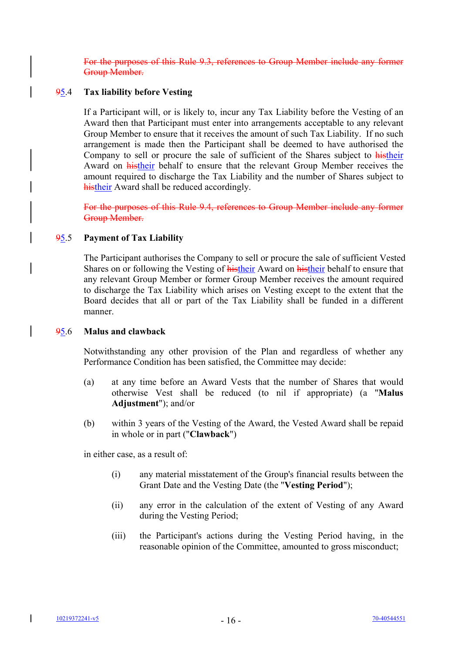is Rule 9.3, references to Group Member include any former Group Member.

# 95.4 **Tax liability before Vesting**

If a Participant will, or is likely to, incur any Tax Liability before the Vesting of an Award then that Participant must enter into arrangements acceptable to any relevant Group Member to ensure that it receives the amount of such Tax Liability. If no such arrangement is made then the Participant shall be deemed to have authorised the Company to sell or procure the sale of sufficient of the Shares subject to histheir Award on histheir behalf to ensure that the relevant Group Member receives the amount required to discharge the Tax Liability and the number of Shares subject to histheir Award shall be reduced accordingly.

For the purposes of this Rule 9.4, references to Group Member include any former Group Member.

### 95.5 **Payment of Tax Liability**

The Participant authorises the Company to sell or procure the sale of sufficient Vested Shares on or following the Vesting of histheir Award on histheir behalf to ensure that any relevant Group Member or former Group Member receives the amount required to discharge the Tax Liability which arises on Vesting except to the extent that the Board decides that all or part of the Tax Liability shall be funded in a different manner.

#### 95.6 **Malus and clawback**

Notwithstanding any other provision of the Plan and regardless of whether any Performance Condition has been satisfied, the Committee may decide:

- (a) at any time before an Award Vests that the number of Shares that would otherwise Vest shall be reduced (to nil if appropriate) (a "**Malus Adjustment**"); and/or
- (b) within 3 years of the Vesting of the Award, the Vested Award shall be repaid in whole or in part ("**Clawback**")

in either case, as a result of:

- (i) any material misstatement of the Group's financial results between the Grant Date and the Vesting Date (the "**Vesting Period**");
- (ii) any error in the calculation of the extent of Vesting of any Award during the Vesting Period;
- (iii) the Participant's actions during the Vesting Period having, in the reasonable opinion of the Committee, amounted to gross misconduct;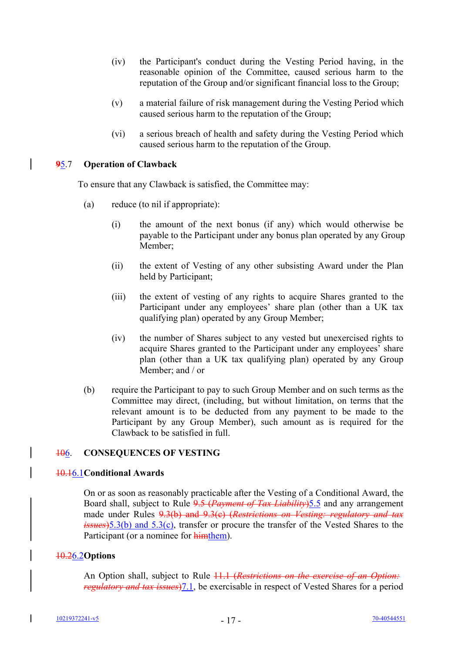- (iv) the Participant's conduct during the Vesting Period having, in the reasonable opinion of the Committee, caused serious harm to the reputation of the Group and/or significant financial loss to the Group;
- (v) a material failure of risk management during the Vesting Period which caused serious harm to the reputation of the Group;
- (vi) a serious breach of health and safety during the Vesting Period which caused serious harm to the reputation of the Group.

### **9**5.7 **Operation of Clawback**

 $\overline{1}$ 

To ensure that any Clawback is satisfied, the Committee may:

- (a) reduce (to nil if appropriate):
	- (i) the amount of the next bonus (if any) which would otherwise be payable to the Participant under any bonus plan operated by any Group Member;
	- (ii) the extent of Vesting of any other subsisting Award under the Plan held by Participant;
	- (iii) the extent of vesting of any rights to acquire Shares granted to the Participant under any employees' share plan (other than a UK tax qualifying plan) operated by any Group Member;
	- (iv) the number of Shares subject to any vested but unexercised rights to acquire Shares granted to the Participant under any employees' share plan (other than a UK tax qualifying plan) operated by any Group Member; and / or
- (b) require the Participant to pay to such Group Member and on such terms as the Committee may direct, (including, but without limitation, on terms that the relevant amount is to be deducted from any payment to be made to the Participant by any Group Member), such amount as is required for the Clawback to be satisfied in full.

# 106. **CONSEQUENCES OF VESTING**

#### 10.16.1**Conditional Awards**

On or as soon as reasonably practicable after the Vesting of a Conditional Award, the Board shall, subject to Rule 9.5 (*Payment of Tax Liability*)5.5 and any arrangement made under Rules 9.3(b) and 9.3(c) (*Restrictions on Vesting: regulatory and tax issues*)5.3(b) and 5.3(c), transfer or procure the transfer of the Vested Shares to the Participant (or a nominee for himthem).

# 10.26.2**Options**

An Option shall, subject to Rule 11.1 (*Restrictions on the exercise of an Option: regulatory and tax issues*)7.1, be exercisable in respect of Vested Shares for a period

I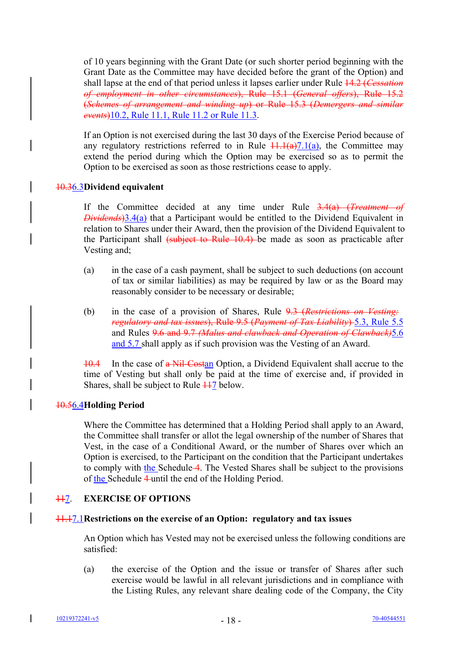of 10 years beginning with the Grant Date (or such shorter period beginning with the Grant Date as the Committee may have decided before the grant of the Option) and shall lapse at the end of that period unless it lapses earlier under Rule 14.2 (*Cessation of employment in other circumstances*), Rule 15.1 (*General offers*), Rule 15.2 (*Schemes of arrangement and winding up*) or Rule 15.3 (*Demergers and similar events*)10.2, Rule 11.1, Rule 11.2 or Rule 11.3.

If an Option is not exercised during the last 30 days of the Exercise Period because of any regulatory restrictions referred to in Rule  $\frac{11.1(a)}{7.1(a)}$ , the Committee may extend the period during which the Option may be exercised so as to permit the Option to be exercised as soon as those restrictions cease to apply.

# 10.36.3**Dividend equivalent**

If the Committee decided at any time under Rule 3.4(a) (*Treatment of Dividends*)3.4(a) that a Participant would be entitled to the Dividend Equivalent in relation to Shares under their Award, then the provision of the Dividend Equivalent to the Participant shall  $\left\{\text{subject to Rule } 10.4\right\}$  be made as soon as practicable after Vesting and;

- (a) in the case of a cash payment, shall be subject to such deductions (on account of tax or similar liabilities) as may be required by law or as the Board may reasonably consider to be necessary or desirable;
- (b) in the case of a provision of Shares, Rule 9.3 (*Restrictions on Vesting: regulatory and tax issues*), Rule 9.5 (*Payment of Tax Liability*) 5.3, Rule 5.5 and Rules 9.6 and 9.7 *(Malus and clawback and Operation of Clawback)*5.6 and 5.7 shall apply as if such provision was the Vesting of an Award.

10.4 In the case of a Nil-Costan Option, a Dividend Equivalent shall accrue to the time of Vesting but shall only be paid at the time of exercise and, if provided in Shares, shall be subject to Rule  $\frac{117}{110}$  below.

# 10.56.4**Holding Period**

Where the Committee has determined that a Holding Period shall apply to an Award, the Committee shall transfer or allot the legal ownership of the number of Shares that Vest, in the case of a Conditional Award, or the number of Shares over which an Option is exercised, to the Participant on the condition that the Participant undertakes to comply with the Schedule 4. The Vested Shares shall be subject to the provisions of the Schedule 4 until the end of the Holding Period.

# 117. **EXERCISE OF OPTIONS**

# 11.17.1**Restrictions on the exercise of an Option: regulatory and tax issues**

An Option which has Vested may not be exercised unless the following conditions are satisfied:

(a) the exercise of the Option and the issue or transfer of Shares after such exercise would be lawful in all relevant jurisdictions and in compliance with the Listing Rules, any relevant share dealing code of the Company, the City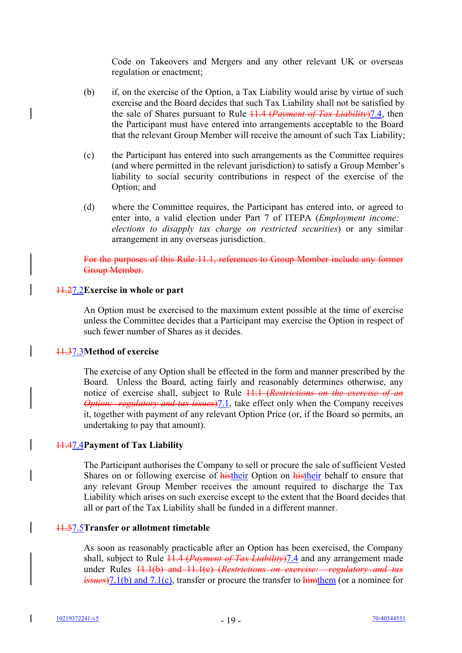Code on Takeovers and Mergers and any other relevant UK or overseas regulation or enactment;

- (b) if, on the exercise of the Option, a Tax Liability would arise by virtue of such exercise and the Board decides that such Tax Liability shall not be satisfied by the sale of Shares pursuant to Rule 11.4 (*Payment of Tax Liability*)7.4, then the Participant must have entered into arrangements acceptable to the Board that the relevant Group Member will receive the amount of such Tax Liability;
- (c) the Participant has entered into such arrangements as the Committee requires (and where permitted in the relevant jurisdiction) to satisfy a Group Member's liability to social security contributions in respect of the exercise of the Option; and
- (d) where the Committee requires, the Participant has entered into, or agreed to enter into, a valid election under Part 7 of ITEPA (*Employment income: elections to disapply tax charge on restricted securities*) or any similar arrangement in any overseas jurisdiction.

For the purposes of this Rule 11.1, references to Group Member include any former Group Member.

### 11.27.2**Exercise in whole or part**

An Option must be exercised to the maximum extent possible at the time of exercise unless the Committee decides that a Participant may exercise the Option in respect of such fewer number of Shares as it decides.

# 11.37.3**Method of exercise**

The exercise of any Option shall be effected in the form and manner prescribed by the Board. Unless the Board, acting fairly and reasonably determines otherwise, any notice of exercise shall, subject to Rule 11.1 (*Restrictions on the exercise of an Option: regulatory and tax issues*)7.1, take effect only when the Company receives it, together with payment of any relevant Option Price (or, if the Board so permits, an undertaking to pay that amount).

# 11.47.4**Payment of Tax Liability**

The Participant authorises the Company to sell or procure the sale of sufficient Vested Shares on or following exercise of histheir Option on histheir behalf to ensure that any relevant Group Member receives the amount required to discharge the Tax Liability which arises on such exercise except to the extent that the Board decides that all or part of the Tax Liability shall be funded in a different manner.

#### 11.57.5**Transfer or allotment timetable**

As soon as reasonably practicable after an Option has been exercised, the Company shall, subject to Rule 11.4 (*Payment of Tax Liability*)7.4 and any arrangement made under Rules 11.1(b) and 11.1(c) (*Restrictions on exercise: regulatory and tax issues*)7.1(b) and 7.1(c), transfer or procure the transfer to himthem (or a nominee for

I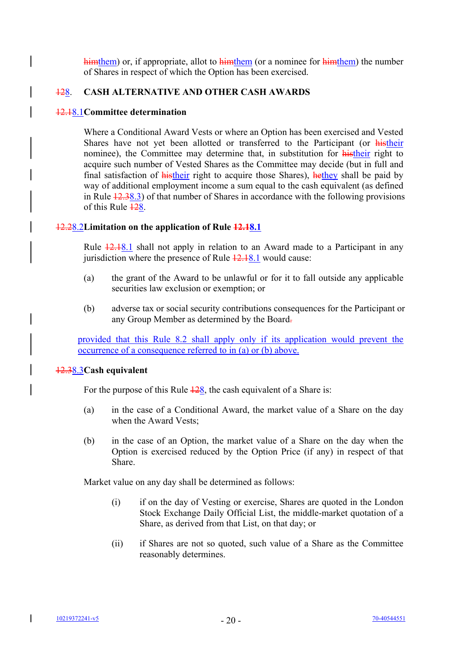himthem) or, if appropriate, allot to himthem (or a nominee for himthem) the number of Shares in respect of which the Option has been exercised.

# 128. **CASH ALTERNATIVE AND OTHER CASH AWARDS**

### 12.18.1**Committee determination**

 $\overline{\phantom{a}}$ 

Where a Conditional Award Vests or where an Option has been exercised and Vested Shares have not yet been allotted or transferred to the Participant (or histheir nominee), the Committee may determine that, in substitution for histheir right to acquire such number of Vested Shares as the Committee may decide (but in full and final satisfaction of histheir right to acquire those Shares), hethey shall be paid by way of additional employment income a sum equal to the cash equivalent (as defined in Rule 12.38.3) of that number of Shares in accordance with the following provisions of this Rule  $\frac{128}{128}$ .

# 12.28.2**Limitation on the application of Rule 12.18.1**

Rule  $\frac{12.18.1}{2.18.1}$  shall not apply in relation to an Award made to a Participant in any jurisdiction where the presence of Rule  $\frac{12.18.1}{2.18.1}$  would cause:

- (a) the grant of the Award to be unlawful or for it to fall outside any applicable securities law exclusion or exemption; or
- (b) adverse tax or social security contributions consequences for the Participant or any Group Member as determined by the Board-

provided that this Rule 8.2 shall apply only if its application would prevent the occurrence of a consequence referred to in (a) or (b) above.

#### 12.38.3**Cash equivalent**

For the purpose of this Rule  $\frac{128}{128}$ , the cash equivalent of a Share is:

- (a) in the case of a Conditional Award, the market value of a Share on the day when the Award Vests;
- (b) in the case of an Option, the market value of a Share on the day when the Option is exercised reduced by the Option Price (if any) in respect of that Share.

Market value on any day shall be determined as follows:

- (i) if on the day of Vesting or exercise, Shares are quoted in the London Stock Exchange Daily Official List, the middle-market quotation of a Share, as derived from that List, on that day; or
- (ii) if Shares are not so quoted, such value of a Share as the Committee reasonably determines.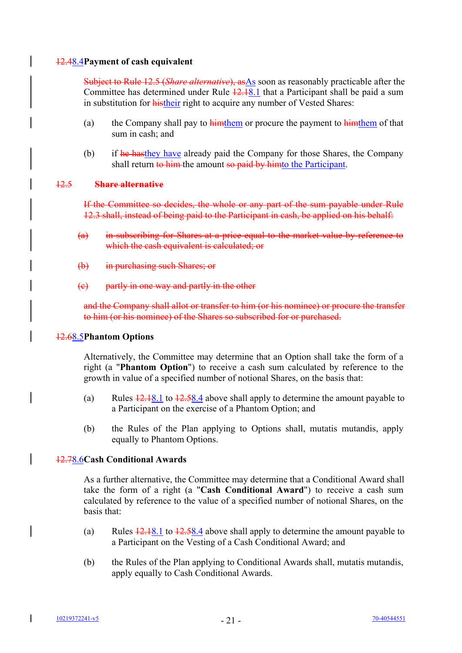# 12.48.4**Payment of cash equivalent**

Subject to Rule 12.5 (*Share alternative*), asAs soon as reasonably practicable after the Committee has determined under Rule 12.18.1 that a Participant shall be paid a sum in substitution for histheir right to acquire any number of Vested Shares:

- (a) the Company shall pay to  $\frac{h_{\text{im}}}{h_{\text{im}}}$  the payment to  $\frac{h_{\text{im}}}{h_{\text{im}}}$  of that sum in cash; and
- (b) if he hasthey have already paid the Company for those Shares, the Company shall return to him the amount so paid by himto the Participant.

### 12.5 **Share alternative**

If the Committee so decides, the whole or any part of the sum payable under Rule 12.3 shall, instead of being paid to the Participant in cash, be applied on his behalf:

- (a) in subscribing for Shares at a price equal to the market value by reference to which the cash equivalent is calculated; or
- (b) in purchasing such Shares; or
- (c) partly in one way and partly in the other

and the Company shall allot or transfer to him (or his nominee) or procure the transfer to him (or his nominee) of the Shares so subscribed for or purchased.

#### 12.68.5**Phantom Options**

Alternatively, the Committee may determine that an Option shall take the form of a right (a "**Phantom Option**") to receive a cash sum calculated by reference to the growth in value of a specified number of notional Shares, on the basis that:

- (a) Rules  $\frac{12.18.1}{2.58.4}$  above shall apply to determine the amount payable to a Participant on the exercise of a Phantom Option; and
- (b) the Rules of the Plan applying to Options shall, mutatis mutandis, apply equally to Phantom Options.

# 12.78.6**Cash Conditional Awards**

As a further alternative, the Committee may determine that a Conditional Award shall take the form of a right (a "**Cash Conditional Award**") to receive a cash sum calculated by reference to the value of a specified number of notional Shares, on the basis that:

- (a) Rules  $\frac{12.18.1 \text{ to } 12.58.4 \text{ above shall apply to determine the amount payable to}$ a Participant on the Vesting of a Cash Conditional Award; and
- (b) the Rules of the Plan applying to Conditional Awards shall, mutatis mutandis, apply equally to Cash Conditional Awards.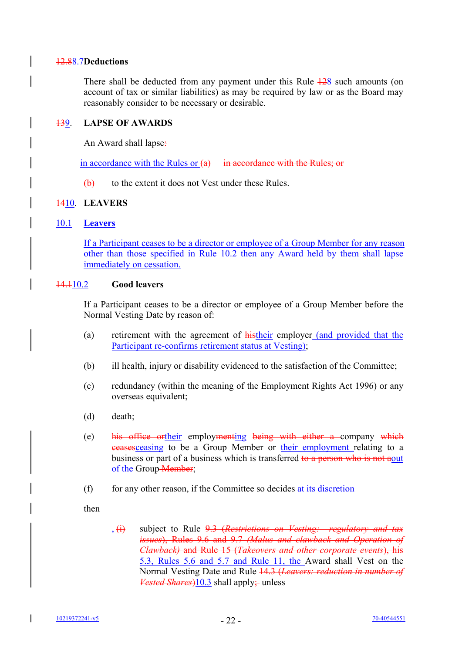# 12.88.7**Deductions**

There shall be deducted from any payment under this Rule  $\frac{128}{28}$  such amounts (on account of tax or similar liabilities) as may be required by law or as the Board may reasonably consider to be necessary or desirable.

# 139. **LAPSE OF AWARDS**

An Award shall lapse:

in accordance with the Rules or  $(a)$  in accordance with the Rules; or

 $(b)$  to the extent it does not Vest under these Rules.

# 1410. **LEAVERS**

# 10.1 **Leavers**

If a Participant ceases to be a director or employee of a Group Member for any reason other than those specified in Rule 10.2 then any Award held by them shall lapse immediately on cessation.

# 14.110.2 **Good leavers**

If a Participant ceases to be a director or employee of a Group Member before the Normal Vesting Date by reason of:

- (a) retirement with the agreement of histheir employer (and provided that the Participant re-confirms retirement status at Vesting);
- (b) ill health, injury or disability evidenced to the satisfaction of the Committee;
- (c) redundancy (within the meaning of the Employment Rights Act 1996) or any overseas equivalent;
- (d) death;
- (e) his office ortheir employmenting being with either a company which ceasesceasing to be a Group Member or their employment relating to a business or part of a business which is transferred to a person who is not aout of the Group Member;
- (f) for any other reason, if the Committee so decides at its discretion

then

, (i) subject to Rule 9.3 (*Restrictions on Vesting: regulatory and tax issues*), Rules 9.6 and 9.7 *(Malus and clawback and Operation of Clawback)* and Rule 15 (*Takeovers and other corporate events*), his 5.3, Rules 5.6 and 5.7 and Rule 11, the Award shall Vest on the Normal Vesting Date and Rule 14.3 (*Leavers: reduction in number of Vested Shares*)10.3 shall apply; unless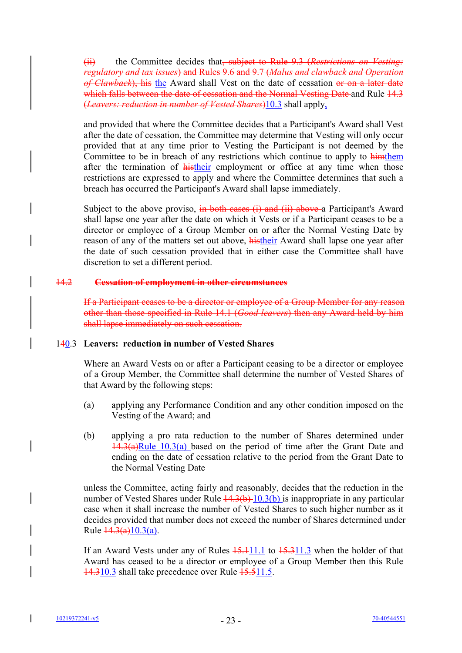(ii) the Committee decides that, subject to Rule 9.3 (*Restrictions on Vesting: regulatory and tax issues*) and Rules 9.6 and 9.7 (*Malus and clawback and Operation* of Clawback), his the Award shall Vest on the date of cessation or on a later date which falls between the date of cessation and the Normal Vesting Date and Rule 14.3 (*Leavers: reduction in number of Vested Shares*)10.3 shall apply,

and provided that where the Committee decides that a Participant's Award shall Vest after the date of cessation, the Committee may determine that Vesting will only occur provided that at any time prior to Vesting the Participant is not deemed by the Committee to be in breach of any restrictions which continue to apply to  $h$ imthem after the termination of histheir employment or office at any time when those restrictions are expressed to apply and where the Committee determines that such a breach has occurred the Participant's Award shall lapse immediately.

Subject to the above proviso, in both cases (i) and (ii) above a Participant's Award shall lapse one year after the date on which it Vests or if a Participant ceases to be a director or employee of a Group Member on or after the Normal Vesting Date by reason of any of the matters set out above, **histheir** Award shall lapse one year after the date of such cessation provided that in either case the Committee shall have discretion to set a different period.

#### 14.2 **Cessation of employment in other circumstances**

If a Participant ceases to be a director or employee of a Group Member for any reason other than those specified in Rule 14.1 (*Good leavers*) then any Award held by him shall lapse immediately on such cessation.

# 140.3 **Leavers: reduction in number of Vested Shares**

Where an Award Vests on or after a Participant ceasing to be a director or employee of a Group Member, the Committee shall determine the number of Vested Shares of that Award by the following steps:

- (a) applying any Performance Condition and any other condition imposed on the Vesting of the Award; and
- (b) applying a pro rata reduction to the number of Shares determined under  $14.3(a)$ Rule 10.3(a) based on the period of time after the Grant Date and ending on the date of cessation relative to the period from the Grant Date to the Normal Vesting Date

unless the Committee, acting fairly and reasonably, decides that the reduction in the number of Vested Shares under Rule  $\frac{14.3(b)}{10.3(b)}$  is inappropriate in any particular case when it shall increase the number of Vested Shares to such higher number as it decides provided that number does not exceed the number of Shares determined under Rule  $\frac{14.3(a)}{10.3(a)}$ .

If an Award Vests under any of Rules  $15.111.1$  to  $15.311.3$  when the holder of that Award has ceased to be a director or employee of a Group Member then this Rule 14.310.3 shall take precedence over Rule 15.511.5.

I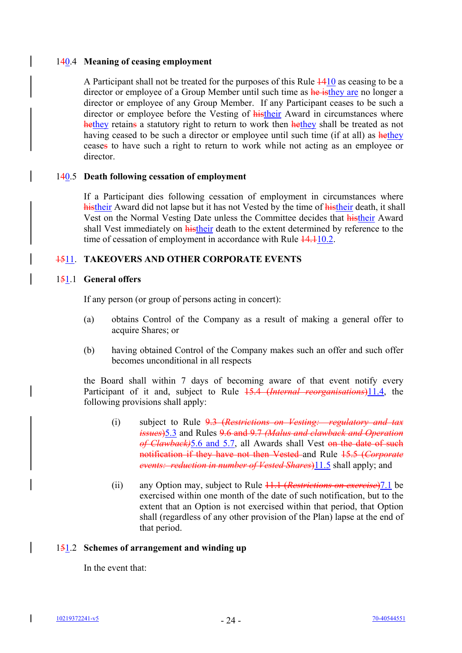# 140.4 **Meaning of ceasing employment**

A Participant shall not be treated for the purposes of this Rule 1410 as ceasing to be a director or employee of a Group Member until such time as he is they are no longer a director or employee of any Group Member. If any Participant ceases to be such a director or employee before the Vesting of **histheir** Award in circumstances where hethey retains a statutory right to return to work then hethey shall be treated as not having ceased to be such a director or employee until such time (if at all) as hethey ceases to have such a right to return to work while not acting as an employee or director.

# 140.5 **Death following cessation of employment**

If a Participant dies following cessation of employment in circumstances where histheir Award did not lapse but it has not Vested by the time of histheir death, it shall Vest on the Normal Vesting Date unless the Committee decides that histheir Award shall Vest immediately on histheir death to the extent determined by reference to the time of cessation of employment in accordance with Rule  $14.110.2$ .

# 1511. **TAKEOVERS AND OTHER CORPORATE EVENTS**

# 151.1 **General offers**

If any person (or group of persons acting in concert):

- (a) obtains Control of the Company as a result of making a general offer to acquire Shares; or
- (b) having obtained Control of the Company makes such an offer and such offer becomes unconditional in all respects

the Board shall within 7 days of becoming aware of that event notify every Participant of it and, subject to Rule 15.4 (*Internal reorganisations*)11.4, the following provisions shall apply:

- (i) subject to Rule 9.3 (*Restrictions on Vesting: regulatory and tax issues*)5.3 and Rules 9.6 and 9.7 *(Malus and clawback and Operation of Clawback)*5.6 and 5.7, all Awards shall Vest on the date of such notification if they have not then Vested and Rule 15.5 (*Corporate events: reduction in number of Vested Shares*)11.5 shall apply; and
- (ii) any Option may, subject to Rule 11.1 (*Restrictions on exercise*)7.1 be exercised within one month of the date of such notification, but to the extent that an Option is not exercised within that period, that Option shall (regardless of any other provision of the Plan) lapse at the end of that period.

# 151.2 **Schemes of arrangement and winding up**

In the event that:

 $\overline{\phantom{a}}$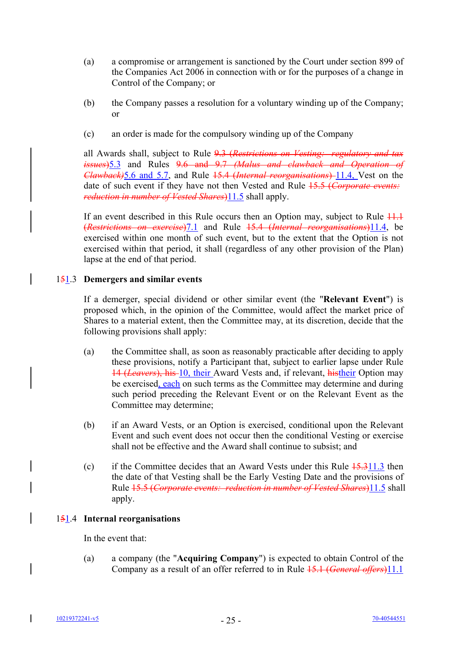- (a) a compromise or arrangement is sanctioned by the Court under section 899 of the Companies Act 2006 in connection with or for the purposes of a change in Control of the Company; or
- (b) the Company passes a resolution for a voluntary winding up of the Company; or
- (c) an order is made for the compulsory winding up of the Company

all Awards shall, subject to Rule 9.3 (*Restrictions on Vesting: regulatory and tax issues*)5.3 and Rules 9.6 and 9.7 *(Malus and clawback and Operation of Clawback)*5.6 and 5.7, and Rule 15.4 (*Internal reorganisations*) 11.4, Vest on the date of such event if they have not then Vested and Rule 15.5 (*Corporate events: reduction in number of Vested Shares*)<sup>11.5</sup> shall apply.

If an event described in this Rule occurs then an Option may, subject to Rule  $11.1$ (*Restrictions on exercise*)7.1 and Rule 15.4 (*Internal reorganisations*)11.4, be exercised within one month of such event, but to the extent that the Option is not exercised within that period, it shall (regardless of any other provision of the Plan) lapse at the end of that period.

# 151.3 **Demergers and similar events**

If a demerger, special dividend or other similar event (the "**Relevant Event**") is proposed which, in the opinion of the Committee, would affect the market price of Shares to a material extent, then the Committee may, at its discretion, decide that the following provisions shall apply:

- (a) the Committee shall, as soon as reasonably practicable after deciding to apply these provisions, notify a Participant that, subject to earlier lapse under Rule 14 (*Leavers*), his 10, their Award Vests and, if relevant, histheir Option may be exercised, each on such terms as the Committee may determine and during such period preceding the Relevant Event or on the Relevant Event as the Committee may determine;
- (b) if an Award Vests, or an Option is exercised, conditional upon the Relevant Event and such event does not occur then the conditional Vesting or exercise shall not be effective and the Award shall continue to subsist; and
- (c) if the Committee decides that an Award Vests under this Rule  $\frac{15.311.3}{ }$  then the date of that Vesting shall be the Early Vesting Date and the provisions of Rule 15.5 (*Corporate events: reduction in number of Vested Shares*)11.5 shall apply.

# 151.4 **Internal reorganisations**

In the event that:

(a) a company (the "**Acquiring Company**") is expected to obtain Control of the Company as a result of an offer referred to in Rule 15.1 (*General offers*)11.1

I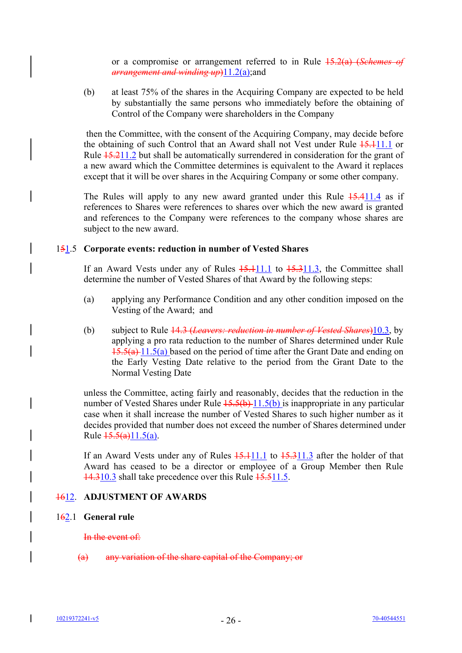or a compromise or arrangement referred to in Rule 15.2(a) (*Schemes of arrangement and winding up*)11.2(a);and

(b) at least 75% of the shares in the Acquiring Company are expected to be held by substantially the same persons who immediately before the obtaining of Control of the Company were shareholders in the Company

 then the Committee, with the consent of the Acquiring Company, may decide before the obtaining of such Control that an Award shall not Vest under Rule  $15.111.1$  or Rule  $\frac{15.211.2}{15.211.2}$  but shall be automatically surrendered in consideration for the grant of a new award which the Committee determines is equivalent to the Award it replaces except that it will be over shares in the Acquiring Company or some other company.

The Rules will apply to any new award granted under this Rule  $15.411.4$  as if references to Shares were references to shares over which the new award is granted and references to the Company were references to the company whose shares are subject to the new award.

### 151.5 **Corporate events: reduction in number of Vested Shares**

If an Award Vests under any of Rules  $15.111.1$  to  $15.311.3$ , the Committee shall determine the number of Vested Shares of that Award by the following steps:

- (a) applying any Performance Condition and any other condition imposed on the Vesting of the Award; and
- (b) subject to Rule 14.3 (*Leavers: reduction in number of Vested Shares*)10.3, by applying a pro rata reduction to the number of Shares determined under Rule  $15.5(a)$  11.5(a) based on the period of time after the Grant Date and ending on the Early Vesting Date relative to the period from the Grant Date to the Normal Vesting Date

unless the Committee, acting fairly and reasonably, decides that the reduction in the number of Vested Shares under Rule  $15.5(b)$  11.5(b) is inappropriate in any particular case when it shall increase the number of Vested Shares to such higher number as it decides provided that number does not exceed the number of Shares determined under Rule  $\frac{15.5(a)}{11.5(a)}$ .

If an Award Vests under any of Rules  $15.111.1$  to  $15.311.3$  after the holder of that Award has ceased to be a director or employee of a Group Member then Rule 14.310.3 shall take precedence over this Rule 15.511.5.

# 1612. **ADJUSTMENT OF AWARDS**

#### 162.1 **General rule**

#### In the event of:

(a) any variation of the share capital of the Company; or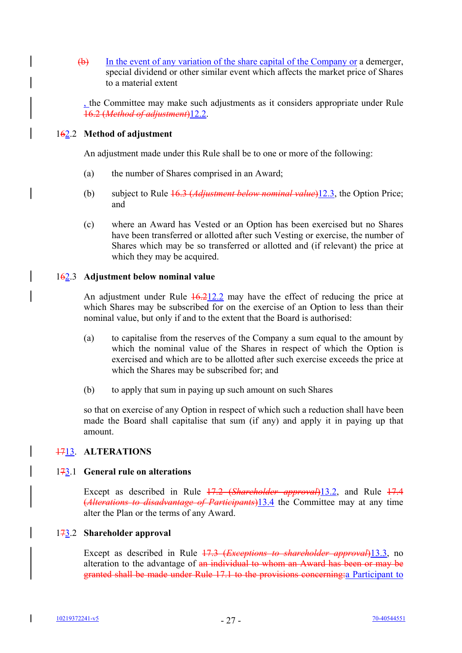(b) In the event of any variation of the share capital of the Company or a demerger, special dividend or other similar event which affects the market price of Shares to a material extent

, the Committee may make such adjustments as it considers appropriate under Rule 16.2 (*Method of adjustment*)12.2.

# 162.2 **Method of adjustment**

An adjustment made under this Rule shall be to one or more of the following:

- (a) the number of Shares comprised in an Award;
- (b) subject to Rule 16.3 (*Adjustment below nominal value*)12.3, the Option Price; and
- (c) where an Award has Vested or an Option has been exercised but no Shares have been transferred or allotted after such Vesting or exercise, the number of Shares which may be so transferred or allotted and (if relevant) the price at which they may be acquired.

# 162.3 **Adjustment below nominal value**

An adjustment under Rule  $\frac{16.212.2}{2}$  may have the effect of reducing the price at which Shares may be subscribed for on the exercise of an Option to less than their nominal value, but only if and to the extent that the Board is authorised:

- (a) to capitalise from the reserves of the Company a sum equal to the amount by which the nominal value of the Shares in respect of which the Option is exercised and which are to be allotted after such exercise exceeds the price at which the Shares may be subscribed for; and
- (b) to apply that sum in paying up such amount on such Shares

so that on exercise of any Option in respect of which such a reduction shall have been made the Board shall capitalise that sum (if any) and apply it in paying up that amount.

# 1713. **ALTERATIONS**

# 173.1 **General rule on alterations**

Except as described in Rule 17.2 (*Shareholder approval*)13.2, and Rule 17.4 (*Alterations to disadvantage of Participants*)13.4 the Committee may at any time alter the Plan or the terms of any Award.

# 173.2 **Shareholder approval**

Except as described in Rule 17.3 (*Exceptions to shareholder approval*)13.3, no alteration to the advantage of an individual to whom an Award has been or may be granted shall be made under Rule 17.1 to the provisions concerning:a Participant to

I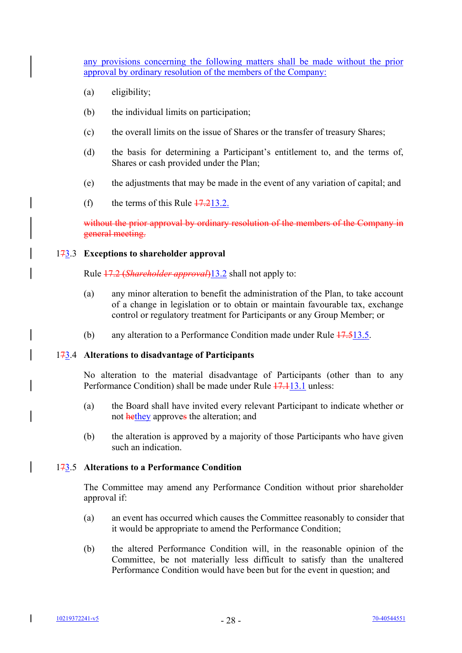any provisions concerning the following matters shall be made without the prior approval by ordinary resolution of the members of the Company:

- (a) eligibility;
- (b) the individual limits on participation;
- (c) the overall limits on the issue of Shares or the transfer of treasury Shares;
- (d) the basis for determining a Participant's entitlement to, and the terms of, Shares or cash provided under the Plan;
- (e) the adjustments that may be made in the event of any variation of capital; and
- (f) the terms of this Rule  $17.213.2$ .

without the prior approval by ordinary resolution of the members of the Company in general meeting.

#### 173.3 **Exceptions to shareholder approval**

Rule 17.2 (*Shareholder approval*)13.2 shall not apply to:

- (a) any minor alteration to benefit the administration of the Plan, to take account of a change in legislation or to obtain or maintain favourable tax, exchange control or regulatory treatment for Participants or any Group Member; or
- (b) any alteration to a Performance Condition made under Rule  $17.513.5$ .

#### 173.4 **Alterations to disadvantage of Participants**

No alteration to the material disadvantage of Participants (other than to any Performance Condition) shall be made under Rule 17.113.1 unless:

- (a) the Board shall have invited every relevant Participant to indicate whether or not hethey approves the alteration; and
- (b) the alteration is approved by a majority of those Participants who have given such an indication.

#### 173.5 **Alterations to a Performance Condition**

The Committee may amend any Performance Condition without prior shareholder approval if:

- (a) an event has occurred which causes the Committee reasonably to consider that it would be appropriate to amend the Performance Condition;
- (b) the altered Performance Condition will, in the reasonable opinion of the Committee, be not materially less difficult to satisfy than the unaltered Performance Condition would have been but for the event in question; and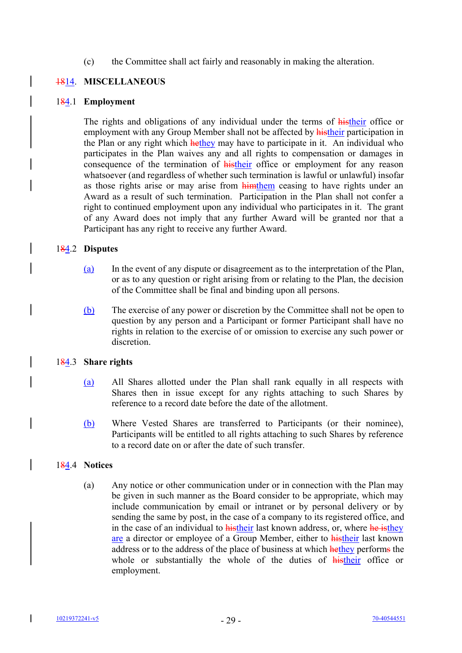### (c) the Committee shall act fairly and reasonably in making the alteration.

# 1814. **MISCELLANEOUS**

#### 184.1 **Employment**

The rights and obligations of any individual under the terms of histheir office or employment with any Group Member shall not be affected by **histheir** participation in the Plan or any right which hethey may have to participate in it. An individual who participates in the Plan waives any and all rights to compensation or damages in consequence of the termination of **histheir** office or employment for any reason whatsoever (and regardless of whether such termination is lawful or unlawful) insofar as those rights arise or may arise from **himthem** ceasing to have rights under an Award as a result of such termination. Participation in the Plan shall not confer a right to continued employment upon any individual who participates in it. The grant of any Award does not imply that any further Award will be granted nor that a Participant has any right to receive any further Award.

### 184.2 **Disputes**

- (a) In the event of any dispute or disagreement as to the interpretation of the Plan, or as to any question or right arising from or relating to the Plan, the decision of the Committee shall be final and binding upon all persons.
- (b) The exercise of any power or discretion by the Committee shall not be open to question by any person and a Participant or former Participant shall have no rights in relation to the exercise of or omission to exercise any such power or discretion.

#### 184.3 **Share rights**

- (a) All Shares allotted under the Plan shall rank equally in all respects with Shares then in issue except for any rights attaching to such Shares by reference to a record date before the date of the allotment.
- (b) Where Vested Shares are transferred to Participants (or their nominee), Participants will be entitled to all rights attaching to such Shares by reference to a record date on or after the date of such transfer.

#### 184.4 **Notices**

(a) Any notice or other communication under or in connection with the Plan may be given in such manner as the Board consider to be appropriate, which may include communication by email or intranet or by personal delivery or by sending the same by post, in the case of a company to its registered office, and in the case of an individual to **histheir** last known address, or, where he isthey are a director or employee of a Group Member, either to histheir last known address or to the address of the place of business at which hethey performs the whole or substantially the whole of the duties of histheir office or employment.

I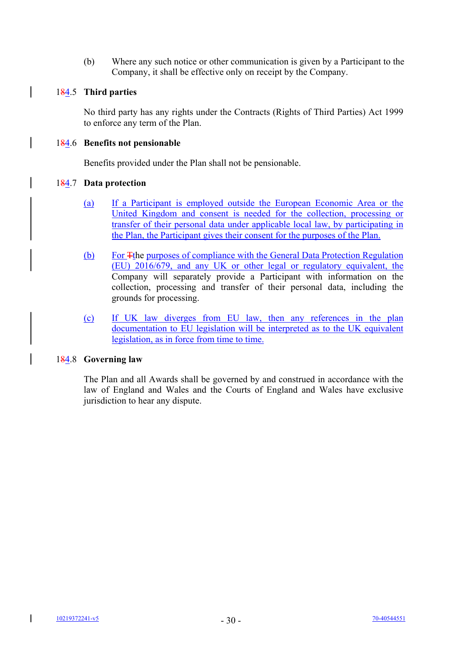(b) Where any such notice or other communication is given by a Participant to the Company, it shall be effective only on receipt by the Company.

# 184.5 **Third parties**

 $\overline{1}$ 

No third party has any rights under the Contracts (Rights of Third Parties) Act 1999 to enforce any term of the Plan.

# 184.6 **Benefits not pensionable**

Benefits provided under the Plan shall not be pensionable.

# 184.7 **Data protection**

- (a) If a Participant is employed outside the European Economic Area or the United Kingdom and consent is needed for the collection, processing or transfer of their personal data under applicable local law, by participating in the Plan, the Participant gives their consent for the purposes of the Plan.
- (b) For Tthe purposes of compliance with the General Data Protection Regulation (EU) 2016/679, and any UK or other legal or regulatory equivalent, the Company will separately provide a Participant with information on the collection, processing and transfer of their personal data, including the grounds for processing.
- (c) If UK law diverges from EU law, then any references in the plan documentation to EU legislation will be interpreted as to the UK equivalent legislation, as in force from time to time.

# 184.8 **Governing law**

The Plan and all Awards shall be governed by and construed in accordance with the law of England and Wales and the Courts of England and Wales have exclusive jurisdiction to hear any dispute.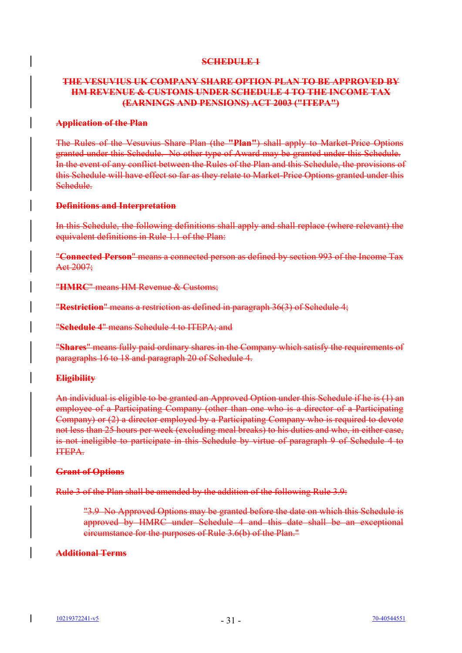#### **SCHEDULE 1**

# **THE VESUVIUS UK COMPANY SHARE OPTION PLAN TO BE APPROVED BY HM REVENUE & CUSTOMS UNDER SCHEDULE 4 TO THE INCOME TAX (EARNINGS AND PENSIONS) ACT 2003 ("ITEPA")**

#### **Application of the Plan**

The Rules of the Vesuvius Share Plan (the **"Plan"**) shall apply to Market-Price Options granted under this Schedule. No other type of Award may be granted under this Schedule. In the event of any conflict between the Rules of the Plan and this Schedule, the provisions of this Schedule will have effect so far as they relate to Market-Price Options granted under this Schedule.

# **Definitions and Interpretation**

In this Schedule, the following definitions shall apply and shall replace (where relevant) the equivalent definitions in Rule 1.1 of the Plan:

"**Connected Person**" means a connected person as defined by section 993 of the Income Tax Act 2007;

"**HMRC**" means HM Revenue & Customs;

"**Restriction**" means a restriction as defined in paragraph 36(3) of Schedule 4;

"**Schedule 4**" means Schedule 4 to ITEPA; and

"**Shares**" means fully paid ordinary shares in the Company which satisfy the requirements of paragraphs 16 to 18 and paragraph 20 of Schedule 4.

# **Eligibility**

An individual is eligible to be granted an Approved Option under this Schedule if he is (1) an employee of a Participating Company (other than one who is a director of a Participating Company) or (2) a director employed by a Participating Company who is required to devote not less than 25 hours per week (excluding meal breaks) to his duties and who, in either case, is not ineligible to participate in this Schedule by virtue of paragraph 9 of Schedule 4 to ITEPA.

#### **Grant of Options**

Rule 3 of the Plan shall be amended by the addition of the following Rule 3.9:

"3.9 No Approved Options may be granted before the date on which this Schedule is approved by HMRC under Schedule 4 and this date shall be an exceptional circumstance for the purposes of Rule 3.6(b) of the Plan."

# **Additional Terms**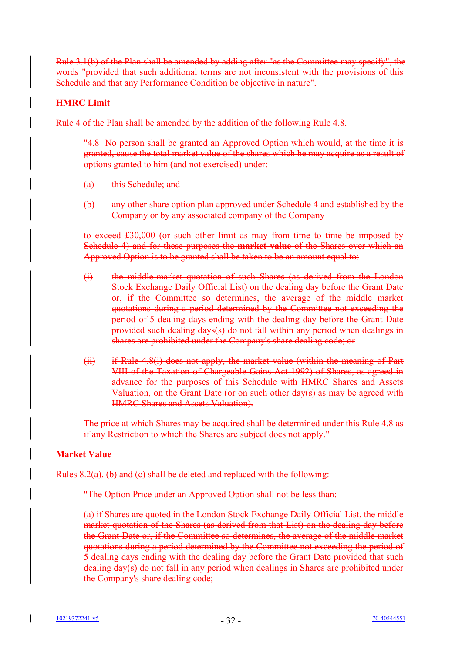Rule 3.1(b) of the Plan shall be amended by adding after "as the Committee may specify", the words "provided that such additional terms are not inconsistent with the provisions of this Schedule and that any Performance Condition be objective in nature".

# **HMRC Limit**

Rule 4 of the Plan shall be amended by the addition of the following Rule 4.8.

"4.8 No person shall be granted an Approved Option which would, at the time it is granted, cause the total market value of the shares which he may acquire as a result of options granted to him (and not exercised) under:

- (a) this Schedule; and
- (b) any other share option plan approved under Schedule 4 and established by the Company or by any associated company of the Company

to exceed £30,000 (or such other limit as may from time to time be imposed by Schedule 4) and for these purposes the **market value** of the Shares over which an Approved Option is to be granted shall be taken to be an amount equal to:

- (i) the middle-market quotation of such Shares (as derived from the London Stock Exchange Daily Official List) on the dealing day before the Grant Date or, if the Committee so determines, the average of the middle market quotations during a period determined by the Committee not exceeding the period of 5 dealing days ending with the dealing day before the Grant Date provided such dealing days(s) do not fall within any period when dealings in shares are prohibited under the Company's share dealing code; or
- (ii) if Rule 4.8(i) does not apply, the market value (within the meaning of Part VIII of the Taxation of Chargeable Gains Act 1992) of Shares, as agreed in advance for the purposes of this Schedule with HMRC Shares and Assets Valuation, on the Grant Date (or on such other day(s) as may be agreed with HMRC Shares and Assets Valuation).

The price at which Shares may be acquired shall be determined under this Rule 4.8 as if any Restriction to which the Shares are subject does not apply."

# **Market Value**

Rules 8.2(a), (b) and (c) shall be deleted and replaced with the following:

"The Option Price under an Approved Option shall not be less than:

(a) if Shares are quoted in the London Stock Exchange Daily Official List, the middle market quotation of the Shares (as derived from that List) on the dealing day before the Grant Date or, if the Committee so determines, the average of the middle market quotations during a period determined by the Committee not exceeding the period of 5 dealing days ending with the dealing day before the Grant Date provided that such dealing day(s) do not fall in any period when dealings in Shares are prohibited under the Company's share dealing code;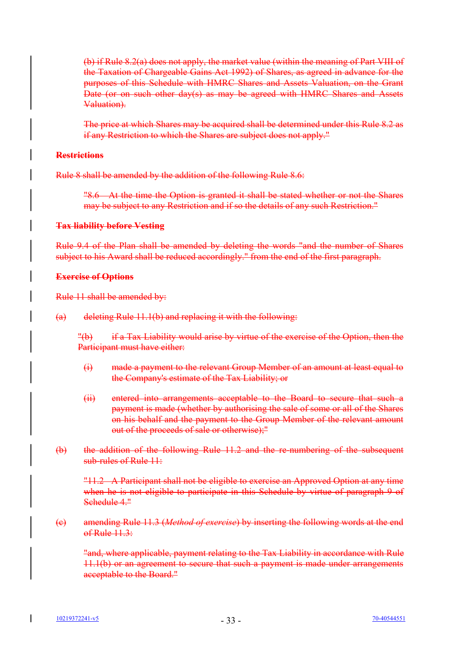(b) if Rule 8.2(a) does not apply, the market value (within the meaning of Part VIII of the Taxation of Chargeable Gains Act 1992) of Shares, as agreed in advance for the purposes of this Schedule with HMRC Shares and Assets Valuation, on the Grant Date (or on such other day(s) as may be agreed with HMRC Shares and Assets Valuation).

The price at which Shares may be acquired shall be determined under this Rule 8.2 as if any Restriction to which the Shares are subject does not apply."

# **Restrictions**

Rule 8 shall be amended by the addition of the following Rule 8.6:

"8.6 At the time the Option is granted it shall be stated whether or not the Shares may be subject to any Restriction and if so the details of any such Restriction."

### **Tax liability before Vesting**

Rule 9.4 of the Plan shall be amended by deleting the words "and the number of Shares subject to his Award shall be reduced accordingly." from the end of the first paragraph.

### **Exercise of Options**

Rule 11 shall be amended by:

 $(a)$  deleting Rule 11.1(b) and replacing it with the following:

"(b) if a Tax Liability would arise by virtue of the exercise of the Option, then the Participant must have either:

- (i) made a payment to the relevant Group Member of an amount at least equal to the Company's estimate of the Tax Liability; or
- (ii) entered into arrangements acceptable to the Board to secure that such a payment is made (whether by authorising the sale of some or all of the Shares on his behalf and the payment to the Group Member of the relevant amount out of the proceeds of sale or otherwise);"
- (b) the addition of the following Rule 11.2 and the re-numbering of the subsequent sub-rules of Rule 11:

"11.2 A Participant shall not be eligible to exercise an Approved Option at any time when he is not eligible to participate in this Schedule by virtue of paragraph 9 of Schedule 4."

(c) amending Rule 11.3 (*Method of exercise*) by inserting the following words at the end  $of Rule 11.3:$ 

"and, where applicable, payment relating to the Tax Liability in accordance with Rule 11.1(b) or an agreement to secure that such a payment is made under arrangements acceptable to the Board."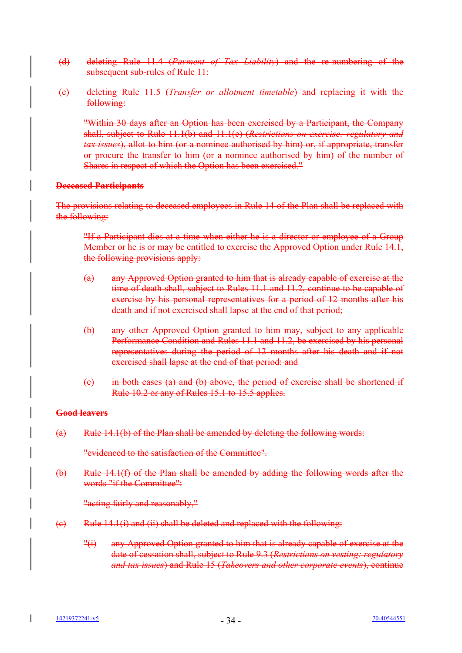- (d) deleting Rule 11.4 (*Payment of Tax Liability*) and the re-numbering of the subsequent sub-rules of Rule 11;
- (e) deleting Rule 11.5 (*Transfer or allotment timetable*) and replacing it with the following:

"Within 30 days after an Option has been exercised by a Participant, the Company shall, subject to Rule 11.1(b) and 11.1(c) (*Restrictions on exercise: regulatory and tax issues*), allot to him (or a nominee authorised by him) or, if appropriate, transfer or procure the transfer to him (or a nominee authorised by him) of the number of Shares in respect of which the Option has been exercised."

# **Deceased Participants**

The provisions relating to deceased employees in Rule 14 of the Plan shall be replaced with the following:

"If a Participant dies at a time when either he is a director or employee of a Group Member or he is or may be entitled to exercise the Approved Option under Rule 14.1, the following provisions apply:

- (a) any Approved Option granted to him that is already capable of exercise at the time of death shall, subject to Rules 11.1 and 11.2, continue to be capable of exercise by his personal representatives for a period of 12 months after his death and if not exercised shall lapse at the end of that period;
- (b) any other Approved Option granted to him may, subject to any applicable Performance Condition and Rules 11.1 and 11.2, be exercised by his personal representatives during the period of 12 months after his death and if not exercised shall lapse at the end of that period: and
- (c) in both cases (a) and (b) above, the period of exercise shall be shortened if Rule 10.2 or any of Rules 15.1 to 15.5 applies.

#### **Good leavers**

(a) Rule 14.1(b) of the Plan shall be amended by deleting the following words:

"evidenced to the satisfaction of the Committee".

(b) Rule 14.1(f) of the Plan shall be amended by adding the following words after the words "if the Committee":

"acting fairly and reasonably,"

- $(e)$  Rule 14.1(i) and (ii) shall be deleted and replaced with the following:
	- "(i) any Approved Option granted to him that is already capable of exercise at the date of cessation shall, subject to Rule 9.3 (*Restrictions on vesting: regulatory and tax issues*) and Rule 15 (*Takeovers and other corporate events*), continue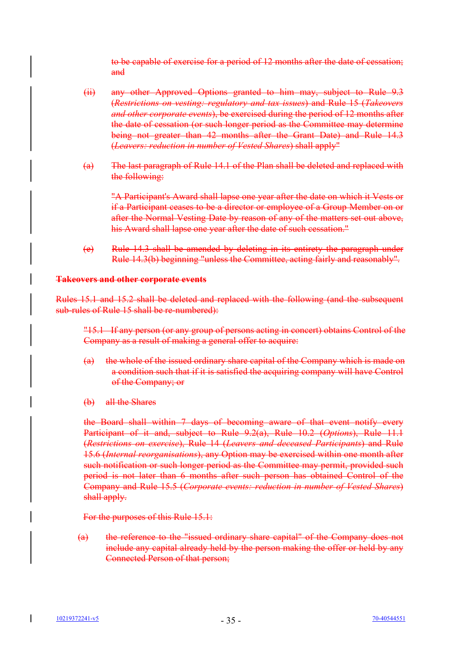to be capable of exercise for a period of 12 months after the date of cessation; and

- (ii) any other Approved Options granted to him may, subject to Rule 9.3 (*Restrictions on vesting: regulatory and tax issues*) and Rule 15 (*Takeovers and other corporate events*), be exercised during the period of 12 months after the date of cessation (or such longer period as the Committee may determine being not greater than 42 months after the Grant Date) and Rule 14.3 (*Leavers: reduction in number of Vested Shares*) shall apply"
- (a) The last paragraph of Rule 14.1 of the Plan shall be deleted and replaced with the following:

"A Participant's Award shall lapse one year after the date on which it Vests or if a Participant ceases to be a director or employee of a Group Member on or after the Normal Vesting Date by reason of any of the matters set out above, his Award shall lapse one year after the date of such cessation."

(e) Rule 14.3 shall be amended by deleting in its entirety the paragraph under Rule 14.3(b) beginning "unless the Committee, acting fairly and reasonably".

### **Takeovers and other corporate events**

Rules 15.1 and 15.2 shall be deleted and replaced with the following (and the subsequent sub-rules of Rule 15 shall be re-numbered):

"15.1 If any person (or any group of persons acting in concert) obtains Control of the Company as a result of making a general offer to acquire:

- (a) the whole of the issued ordinary share capital of the Company which is made on a condition such that if it is satisfied the acquiring company will have Control of the Company; or
- (b) all the Shares

the Board shall within 7 days of becoming aware of that event notify every Participant of it and, subject to Rule 9.2(a), Rule 10.2 (*Options*), Rule 11.1 (*Restrictions on exercise*), Rule 14 (*Leavers and deceased Participants*) and Rule 15.6 (*Internal reorganisations*), any Option may be exercised within one month after such notification or such longer period as the Committee may permit, provided such period is not later than 6 months after such person has obtained Control of the Company and Rule 15.5 (*Corporate events: reduction in number of Vested Shares*) shall apply.

For the purposes of this Rule 15.1:

(a) the reference to the "issued ordinary share capital" of the Company does not include any capital already held by the person making the offer or held by any Connected Person of that person;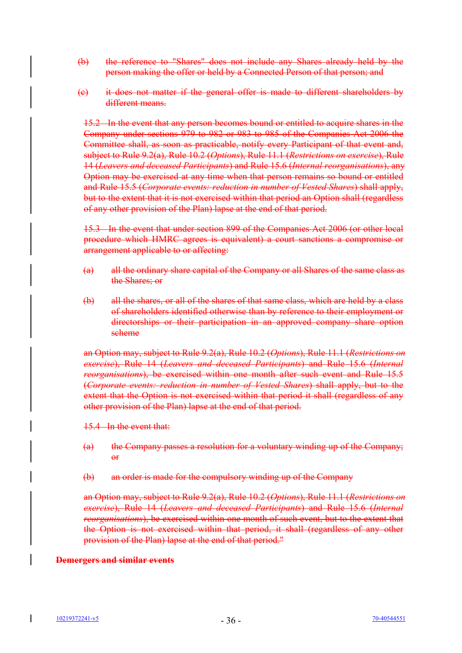- (b) the reference to "Shares" does not include any Shares already held by the person making the offer or held by a Connected Person of that person; and
- (c) it does not matter if the general offer is made to different shareholders by different means.

15.2 In the event that any person becomes bound or entitled to acquire shares in the Company under sections 979 to 982 or 983 to 985 of the Companies Act 2006 the Committee shall, as soon as practicable, notify every Participant of that event and, subject to Rule 9.2(a), Rule 10.2 (*Options*), Rule 11.1 (*Restrictions on exercise*), Rule 14 (*Leavers and deceased Participants*) and Rule 15.6 (*Internal reorganisations*), any Option may be exercised at any time when that person remains so bound or entitled and Rule 15.5 (*Corporate events: reduction in number of Vested Shares*) shall apply, but to the extent that it is not exercised within that period an Option shall (regardless of any other provision of the Plan) lapse at the end of that period.

15.3 In the event that under section 899 of the Companies Act 2006 (or other local procedure which HMRC agrees is equivalent) a court sanctions a compromise or arrangement applicable to or affecting:

- (a) all the ordinary share capital of the Company or all Shares of the same class as the Shares; or
- (b) all the shares, or all of the shares of that same class, which are held by a class of shareholders identified otherwise than by reference to their employment or directorships or their participation in an approved company share option scheme

an Option may, subject to Rule 9.2(a), Rule 10.2 (*Options*), Rule 11.1 (*Restrictions on exercise*), Rule 14 (*Leavers and deceased Participants*) and Rule 15.6 (*Internal reorganisations*), be exercised within one month after such event and Rule 15.5 (*Corporate events: reduction in number of Vested Shares*) shall apply, but to the extent that the Option is not exercised within that period it shall (regardless of any other provision of the Plan) lapse at the end of that period.

15.4 In the event that:

- (a) the Company passes a resolution for a voluntary winding up of the Company;  $\theta$ <sup>r</sup>
- (b) an order is made for the compulsory winding up of the Company

an Option may, subject to Rule 9.2(a), Rule 10.2 (*Options*), Rule 11.1 (*Restrictions on exercise*), Rule 14 (*Leavers and deceased Participants*) and Rule 15.6 (*Internal reorganisations*), be exercised within one month of such event, but to the extent that the Option is not exercised within that period, it shall (regardless of any other provision of the Plan) lapse at the end of that period."

# **Demergers and similar events**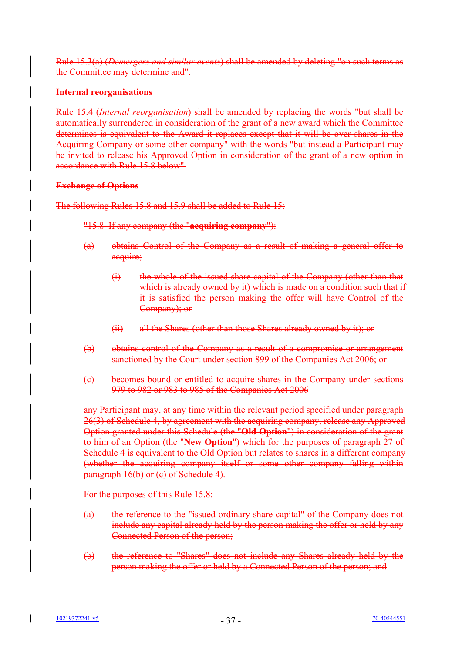Rule 15.3(a) (*Demergers and similar events*) shall be amended by deleting "on such terms as the Committee may determine and".

### **Internal reorganisations**

Rule 15.4 (*Internal reorganisation*) shall be amended by replacing the words "but shall be automatically surrendered in consideration of the grant of a new award which the Committee determines is equivalent to the Award it replaces except that it will be over shares in the Acquiring Company or some other company" with the words "but instead a Participant may be invited to release his Approved Option in consideration of the grant of a new option in accordance with Rule 15.8 below".

### **Exchange of Options**

The following Rules 15.8 and 15.9 shall be added to Rule 15:

### "15.8 If any company (the "**acquiring company**"):

- (a) obtains Control of the Company as a result of making a general offer to acquire;
	- (i) the whole of the issued share capital of the Company (other than that which is already owned by it) which is made on a condition such that if it is satisfied the person making the offer will have Control of the Company); or
	- (ii) all the Shares (other than those Shares already owned by it); or
- (b) obtains control of the Company as a result of a compromise or arrangement sanctioned by the Court under section 899 of the Companies Act 2006; or
- (c) becomes bound or entitled to acquire shares in the Company under sections 979 to 982 or 983 to 985 of the Companies Act 2006

any Participant may, at any time within the relevant period specified under paragraph 26(3) of Schedule 4, by agreement with the acquiring company, release any Approved Option granted under this Schedule (the "**Old Option**") in consideration of the grant to him of an Option (the "**New Option**") which for the purposes of paragraph 27 of Schedule 4 is equivalent to the Old Option but relates to shares in a different company (whether the acquiring company itself or some other company falling within paragraph 16(b) or (c) of Schedule 4).

For the purposes of this Rule 15.8:

- (a) the reference to the "issued ordinary share capital" of the Company does not include any capital already held by the person making the offer or held by any Connected Person of the person;
- (b) the reference to "Shares" does not include any Shares already held by the person making the offer or held by a Connected Person of the person; and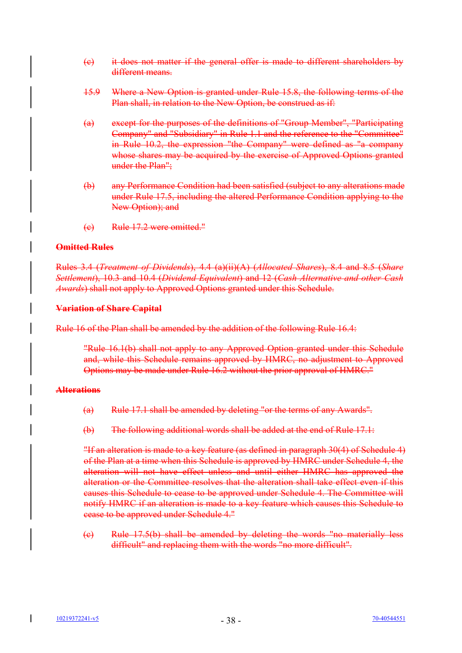- (c) it does not matter if the general offer is made to different shareholders by different means.
- 15.9 Where a New Option is granted under Rule 15.8, the following terms of the Plan shall, in relation to the New Option, be construed as if:
- (a) except for the purposes of the definitions of "Group Member", "Participating Company" and "Subsidiary" in Rule 1.1 and the reference to the "Committee" in Rule 10.2, the expression "the Company" were defined as "a company whose shares may be acquired by the exercise of Approved Options granted under the Plan";
- (b) any Performance Condition had been satisfied (subject to any alterations made under Rule 17.5, including the altered Performance Condition applying to the New Option); and
- (c) Rule 17.2 were omitted."

# **Omitted Rules**

Rules 3.4 (*Treatment of Dividends*), 4.4 (a)(ii)(A) (*Allocated Shares*), 8.4 and 8.5 (*Share Settlement*), 10.3 and 10.4 (*Dividend Equivalent*) and 12 (*Cash Alternative and other Cash Awards*) shall not apply to Approved Options granted under this Schedule.

### **Variation of Share Capital**

Rule 16 of the Plan shall be amended by the addition of the following Rule 16.4:

"Rule 16.1(b) shall not apply to any Approved Option granted under this Schedule and, while this Schedule remains approved by HMRC, no adjustment to Approved Options may be made under Rule 16.2 without the prior approval of HMRC."

# **Alterations**

- (a) Rule 17.1 shall be amended by deleting "or the terms of any Awards".
- (b) The following additional words shall be added at the end of Rule 17.1:

"If an alteration is made to a key feature (as defined in paragraph 30(4) of Schedule 4) of the Plan at a time when this Schedule is approved by HMRC under Schedule 4, the alteration will not have effect unless and until either HMRC has approved the alteration or the Committee resolves that the alteration shall take effect even if this causes this Schedule to cease to be approved under Schedule 4. The Committee will notify HMRC if an alteration is made to a key feature which causes this Schedule to cease to be approved under Schedule 4."

(c) Rule 17.5(b) shall be amended by deleting the words "no materially less difficult" and replacing them with the words "no more difficult".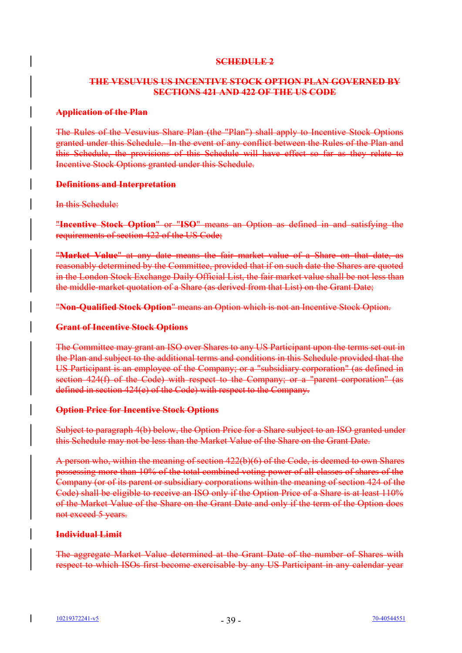# **SCHEDULE 2**

# **THE VESUVIUS US INCENTIVE STOCK OPTION PLAN GOVERNED BY SECTIONS 421 AND 422 OF THE US CODE**

### **Application of the Plan**

The Rules of the Vesuvius Share Plan (the "Plan") shall apply to Incentive Stock Options granted under this Schedule. In the event of any conflict between the Rules of the Plan and this Schedule, the provisions of this Schedule will have effect so far as they relate to Incentive Stock Options granted under this Schedule.

### **Definitions and Interpretation**

#### In this Schedule:

"**Incentive Stock Option**" or "**ISO**" means an Option as defined in and satisfying the requirements of section 422 of the US Code;

"**Market Value**" at any date means the fair market value of a Share on that date, as reasonably determined by the Committee, provided that if on such date the Shares are quoted in the London Stock Exchange Daily Official List, the fair market value shall be not less than the middle-market quotation of a Share (as derived from that List) on the Grant Date;

"**Non-Qualified Stock Option**" means an Option which is not an Incentive Stock Option.

### **Grant of Incentive Stock Options**

The Committee may grant an ISO over Shares to any US Participant upon the terms set out in the Plan and subject to the additional terms and conditions in this Schedule provided that the US Participant is an employee of the Company; or a "subsidiary corporation" (as defined in section 424(f) of the Code) with respect to the Company; or a "parent corporation" (as defined in section 424(e) of the Code) with respect to the Company.

# **Option Price for Incentive Stock Options**

Subject to paragraph 4(b) below, the Option Price for a Share subject to an ISO granted under this Schedule may not be less than the Market Value of the Share on the Grant Date.

A person who, within the meaning of section 422(b)(6) of the Code, is deemed to own Shares possessing more than 10% of the total combined voting power of all classes of shares of the Company (or of its parent or subsidiary corporations within the meaning of section 424 of the Code) shall be eligible to receive an ISO only if the Option Price of a Share is at least 110% of the Market Value of the Share on the Grant Date and only if the term of the Option does not exceed 5 years.

# **Individual Limit**

The aggregate Market Value determined at the Grant Date of the number of Shares with respect to which ISOs first become exercisable by any US Participant in any calendar year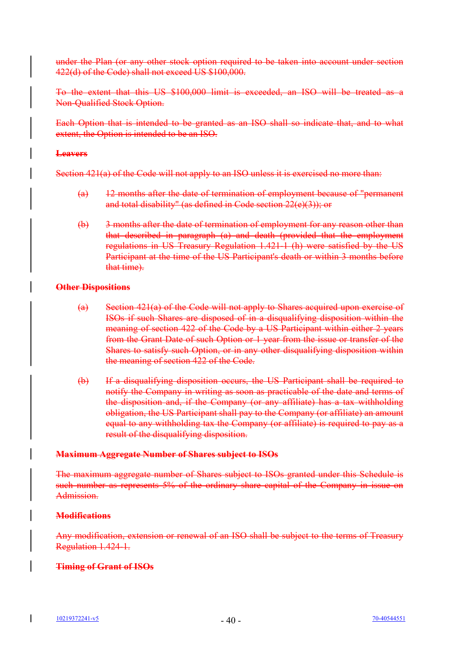under the Plan (or any other stock option required to be taken into account under section 422(d) of the Code) shall not exceed US \$100,000.

To the extent that this US \$100,000 limit is exceeded, an ISO will be treated as a Non-Qualified Stock Option.

Each Option that is intended to be granted as an ISO shall so indicate that, and to what extent, the Option is intended to be an ISO.

#### **Leavers**

Section 421(a) of the Code will not apply to an ISO unless it is exercised no more than:

- (a) 12 months after the date of termination of employment because of "permanent and total disability" (as defined in Code section 22(e)(3)); or
- (b) 3 months after the date of termination of employment for any reason other than that described in paragraph (a) and death (provided that the employment regulations in US Treasury Regulation 1.421-1 (h) were satisfied by the US Participant at the time of the US Participant's death or within 3 months before that time).

### **Other Dispositions**

- (a) Section 421(a) of the Code will not apply to Shares acquired upon exercise of ISOs if such Shares are disposed of in a disqualifying disposition within the meaning of section 422 of the Code by a US Participant within either 2 years from the Grant Date of such Option or 1 year from the issue or transfer of the Shares to satisfy such Option, or in any other disqualifying disposition within the meaning of section 422 of the Code.
- (b) If a disqualifying disposition occurs, the US Participant shall be required to notify the Company in writing as soon as practicable of the date and terms of the disposition and, if the Company (or any affiliate) has a tax withholding obligation, the US Participant shall pay to the Company (or affiliate) an amount equal to any withholding tax the Company (or affiliate) is required to pay as a result of the disqualifying disposition.

#### **Maximum Aggregate Number of Shares subject to ISOs**

The maximum aggregate number of Shares subject to ISOs granted under this Schedule is such number as represents 5% of the ordinary share capital of the Company in issue on Admission.

# **Modifications**

Any modification, extension or renewal of an ISO shall be subject to the terms of Treasury Regulation 1.424-1.

# **Timing of Grant of ISOs**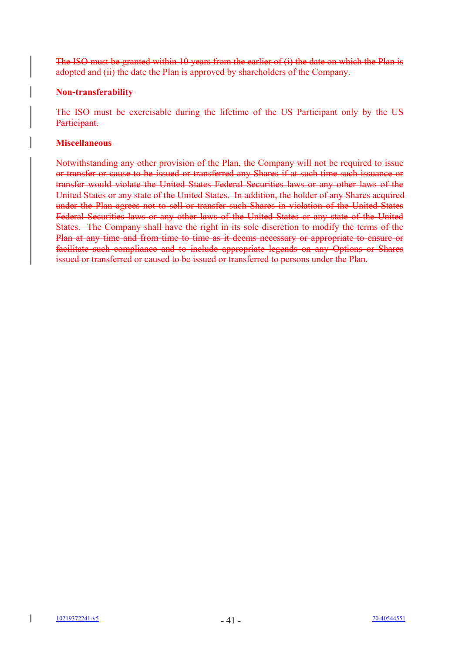The ISO must be granted within 10 years from the earlier of (i) the date on which the Plan is adopted and (ii) the date the Plan is approved by shareholders of the Company.

# **Non-transferability**

The ISO must be exercisable during the lifetime of the US Participant only by the US Participant.

# **Miscellaneous**

Notwithstanding any other provision of the Plan, the Company will not be required to issue or transfer or cause to be issued or transferred any Shares if at such time such issuance or transfer would violate the United States Federal Securities laws or any other laws of the United States or any state of the United States. In addition, the holder of any Shares acquired under the Plan agrees not to sell or transfer such Shares in violation of the United States Federal Securities laws or any other laws of the United States or any state of the United States. The Company shall have the right in its sole discretion to modify the terms of the Plan at any time and from time to time as it deems necessary or appropriate to ensure or facilitate such compliance and to include appropriate legends on any Options or Shares issued or transferred or caused to be issued or transferred to persons under the Plan.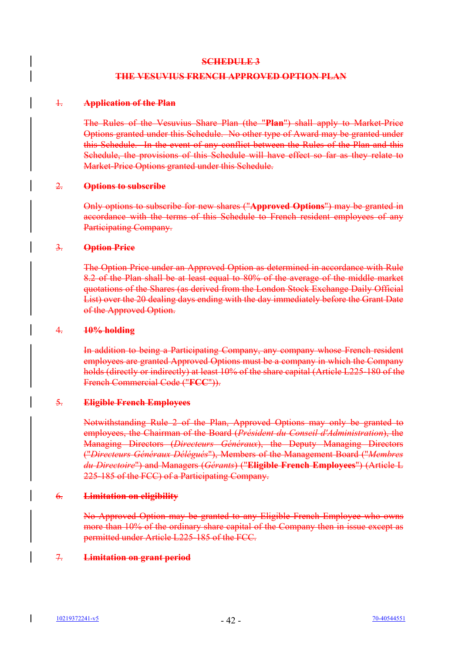### **SCHEDULE 3**

# **THE VESUVIUS FRENCH APPROVED OPTION PLAN**

#### 1. **Application of the Plan**

The Rules of the Vesuvius Share Plan (the "**Plan**") shall apply to Market-Price Options granted under this Schedule. No other type of Award may be granted under this Schedule. In the event of any conflict between the Rules of the Plan and this Schedule, the provisions of this Schedule will have effect so far as they relate to Market-Price Options granted under this Schedule.

### 2. **Options to subscribe**

Only options to subscribe for new shares ("**Approved Options**") may be granted in accordance with the terms of this Schedule to French resident employees of any Participating Company.

### 3. **Option Price**

The Option Price under an Approved Option as determined in accordance with Rule 8.2 of the Plan shall be at least equal to 80% of the average of the middle market quotations of the Shares (as derived from the London Stock Exchange Daily Official List) over the 20 dealing days ending with the day immediately before the Grant Date of the Approved Option.

#### 4. **10% holding**

In addition to being a Participating Company, any company whose French resident employees are granted Approved Options must be a company in which the Company holds (directly or indirectly) at least 10% of the share capital (Article L225-180 of the French Commercial Code ("**FCC**")).

# 5. **Eligible French Employees**

Notwithstanding Rule 2 of the Plan, Approved Options may only be granted to employees, the Chairman of the Board (*Président du Conseil d'Administration*), the Managing Directors (*Directeurs Généraux*), the Deputy Managing Directors ("*Directeurs Généraux Délégués*"), Members of the Management Board ("*Membres du Directoire*") and Managers (*Gérants*) ("**Eligible French Employees**") (Article L 225-185 of the FCC) of a Participating Company.

# 6. **Limitation on eligibility**

No Approved Option may be granted to any Eligible French Employee who owns more than 10% of the ordinary share capital of the Company then in issue except as permitted under Article L225-185 of the FCC.

# 7. **Limitation on grant period**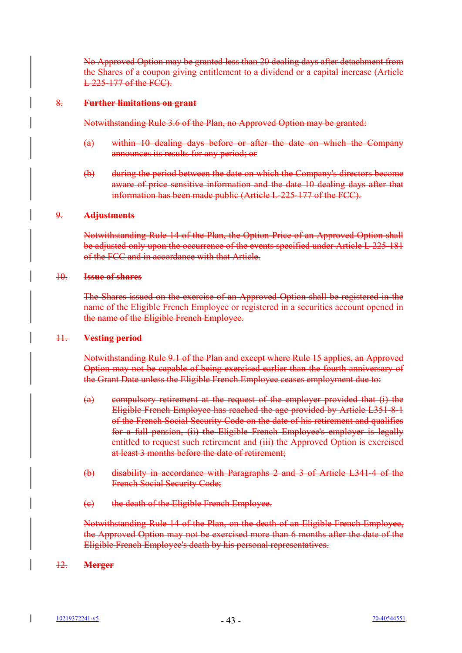No Approved Option may be granted less than 20 dealing days after detachment from the Shares of a coupon giving entitlement to a dividend or a capital increase (Article L 225-177 of the FCC).

### 8. **Further limitations on grant**

Notwithstanding Rule 3.6 of the Plan, no Approved Option may be granted:

- (a) within 10 dealing days before or after the date on which the Company announces its results for any period; or
- (b) during the period between the date on which the Company's directors become aware of price sensitive information and the date 10 dealing days after that information has been made public (Article L-225-177 of the FCC).

### 9. **Adjustments**

Notwithstanding Rule 14 of the Plan, the Option Price of an Approved Option shall be adjusted only upon the occurrence of the events specified under Article L 225-181 of the FCC and in accordance with that Article.

#### 10. **Issue of shares**

The Shares issued on the exercise of an Approved Option shall be registered in the name of the Eligible French Employee or registered in a securities account opened in the name of the Eligible French Employee.

#### 11. **Vesting period**

Notwithstanding Rule 9.1 of the Plan and except where Rule 15 applies, an Approved Option may not be capable of being exercised earlier than the fourth anniversary of the Grant Date unless the Eligible French Employee ceases employment due to:

- (a) compulsory retirement at the request of the employer provided that (i) the Eligible French Employee has reached the age provided by Article L351-8-1 of the French Social Security Code on the date of his retirement and qualifies for a full pension, (ii) the Eligible French Employee's employer is legally entitled to request such retirement and (iii) the Approved Option is exercised at least 3 months before the date of retirement;
- (b) disability in accordance with Paragraphs 2 and 3 of Article L341-4 of the French Social Security Code;
- (c) the death of the Eligible French Employee.

Notwithstanding Rule 14 of the Plan, on the death of an Eligible French Employee, the Approved Option may not be exercised more than 6 months after the date of the Eligible French Employee's death by his personal representatives.

# 12. **Merger**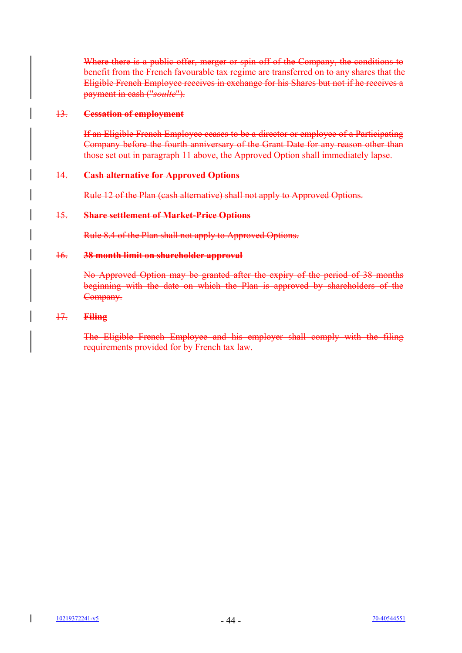Where there is a public offer, merger or spin off of the Company, the conditions to benefit from the French favourable tax regime are transferred on to any shares that the Eligible French Employee receives in exchange for his Shares but not if he receives a payment in cash ("*soulte*").

# 13. **Cessation of employment**

If an Eligible French Employee ceases to be a director or employee of a Participating Company before the fourth anniversary of the Grant Date for any reason other than those set out in paragraph 11 above, the Approved Option shall immediately lapse.

### 14. **Cash alternative for Approved Options**

Rule 12 of the Plan (cash alternative) shall not apply to Approved Options.

### 15. **Share settlement of Market-Price Options**

Rule 8.4 of the Plan shall not apply to Approved Options.

### 16. **38 month limit on shareholder approval**

No Approved Option may be granted after the expiry of the period of 38 months beginning with the date on which the Plan is approved by shareholders of the Company.

### 17. **Filing**

The Eligible French Employee and his employer shall comply with the filing requirements provided for by French tax law.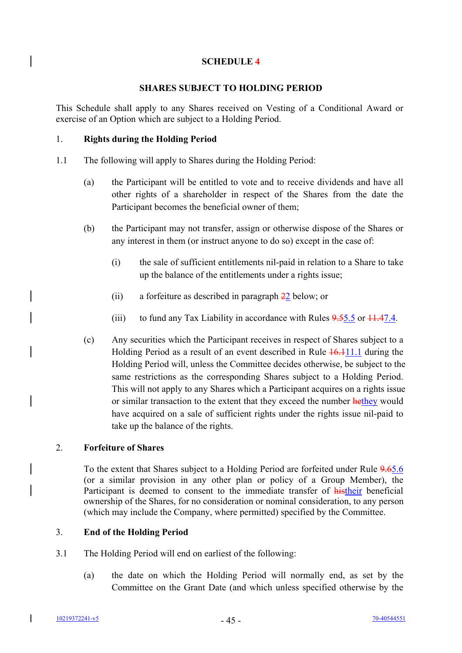# **SCHEDULE 4**

# **SHARES SUBJECT TO HOLDING PERIOD**

This Schedule shall apply to any Shares received on Vesting of a Conditional Award or exercise of an Option which are subject to a Holding Period.

### 1. **Rights during the Holding Period**

 $\overline{\phantom{a}}$ 

 $\overline{\phantom{a}}$ 

 $\overline{\phantom{a}}$ 

- 1.1 The following will apply to Shares during the Holding Period:
	- (a) the Participant will be entitled to vote and to receive dividends and have all other rights of a shareholder in respect of the Shares from the date the Participant becomes the beneficial owner of them;
	- (b) the Participant may not transfer, assign or otherwise dispose of the Shares or any interest in them (or instruct anyone to do so) except in the case of:
		- (i) the sale of sufficient entitlements nil-paid in relation to a Share to take up the balance of the entitlements under a rights issue;
		- (ii) a forfeiture as described in paragraph 22 below; or
		- (iii) to fund any Tax Liability in accordance with Rules  $9.55.5$  or  $11.47.4$ .
	- (c) Any securities which the Participant receives in respect of Shares subject to a Holding Period as a result of an event described in Rule  $\frac{16.111}{1.1}$  during the Holding Period will, unless the Committee decides otherwise, be subject to the same restrictions as the corresponding Shares subject to a Holding Period. This will not apply to any Shares which a Participant acquires on a rights issue or similar transaction to the extent that they exceed the number hethey would have acquired on a sale of sufficient rights under the rights issue nil-paid to take up the balance of the rights.

# 2. **Forfeiture of Shares**

To the extent that Shares subject to a Holding Period are forfeited under Rule 9.65.6 (or a similar provision in any other plan or policy of a Group Member), the Participant is deemed to consent to the immediate transfer of histheir beneficial ownership of the Shares, for no consideration or nominal consideration, to any person (which may include the Company, where permitted) specified by the Committee.

# 3. **End of the Holding Period**

- 3.1 The Holding Period will end on earliest of the following:
	- (a) the date on which the Holding Period will normally end, as set by the Committee on the Grant Date (and which unless specified otherwise by the